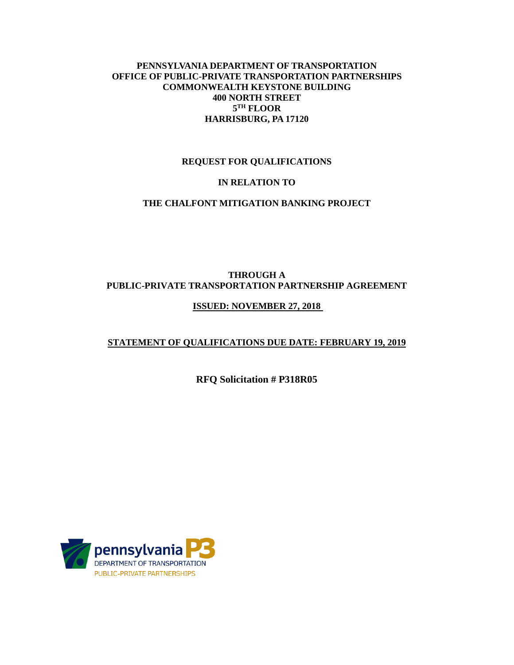## **PENNSYLVANIA DEPARTMENT OF TRANSPORTATION OFFICE OF PUBLIC-PRIVATE TRANSPORTATION PARTNERSHIPS COMMONWEALTH KEYSTONE BUILDING 400 NORTH STREET 5TH FLOOR HARRISBURG, PA 17120**

#### **REQUEST FOR QUALIFICATIONS**

#### **IN RELATION TO**

## **THE CHALFONT MITIGATION BANKING PROJECT**

# **THROUGH A PUBLIC-PRIVATE TRANSPORTATION PARTNERSHIP AGREEMENT**

#### **ISSUED: NOVEMBER 27, 2018**

## **STATEMENT OF QUALIFICATIONS DUE DATE: FEBRUARY 19, 2019**

#### **RFQ Solicitation # P318R05**

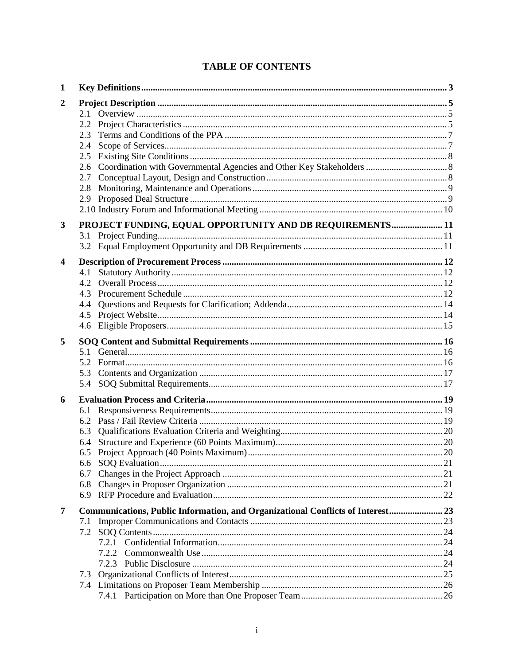| 1                       |            |                                                                                 |  |
|-------------------------|------------|---------------------------------------------------------------------------------|--|
| $\boldsymbol{2}$        |            |                                                                                 |  |
|                         |            |                                                                                 |  |
|                         | 2.2        |                                                                                 |  |
|                         | 2.3        |                                                                                 |  |
|                         | 2.4<br>2.5 |                                                                                 |  |
|                         |            |                                                                                 |  |
|                         | 2.7        |                                                                                 |  |
|                         | 2.8        |                                                                                 |  |
|                         | 2.9        |                                                                                 |  |
|                         |            |                                                                                 |  |
| 3                       |            | PROJECT FUNDING, EQUAL OPPORTUNITY AND DB REQUIREMENTS 11                       |  |
|                         | 3.1        |                                                                                 |  |
|                         | 3.2        |                                                                                 |  |
| $\overline{\mathbf{4}}$ |            |                                                                                 |  |
|                         | 4.1        |                                                                                 |  |
|                         | 4.2        |                                                                                 |  |
|                         | 4.3        |                                                                                 |  |
|                         | 4.4        |                                                                                 |  |
|                         | 4.5        |                                                                                 |  |
|                         | 4.6        |                                                                                 |  |
| 5                       |            |                                                                                 |  |
|                         |            |                                                                                 |  |
|                         | 5.2        |                                                                                 |  |
|                         | 5.3        |                                                                                 |  |
|                         | 5.4        |                                                                                 |  |
| 6                       |            |                                                                                 |  |
|                         | 6.1        |                                                                                 |  |
|                         | 6.2        |                                                                                 |  |
|                         | 6.3        |                                                                                 |  |
|                         | 6.4        |                                                                                 |  |
|                         |            |                                                                                 |  |
|                         | 6.7        |                                                                                 |  |
|                         | 6.8        |                                                                                 |  |
|                         | 6.9        |                                                                                 |  |
| 7                       |            | Communications, Public Information, and Organizational Conflicts of Interest 23 |  |
|                         | 7.1        |                                                                                 |  |
|                         | 7.2        |                                                                                 |  |
|                         |            |                                                                                 |  |
|                         |            | 7.2.2                                                                           |  |
|                         |            | 7.2.3                                                                           |  |
|                         | 7.3        |                                                                                 |  |
|                         | 7.4        |                                                                                 |  |
|                         |            |                                                                                 |  |

# **TABLE OF CONTENTS**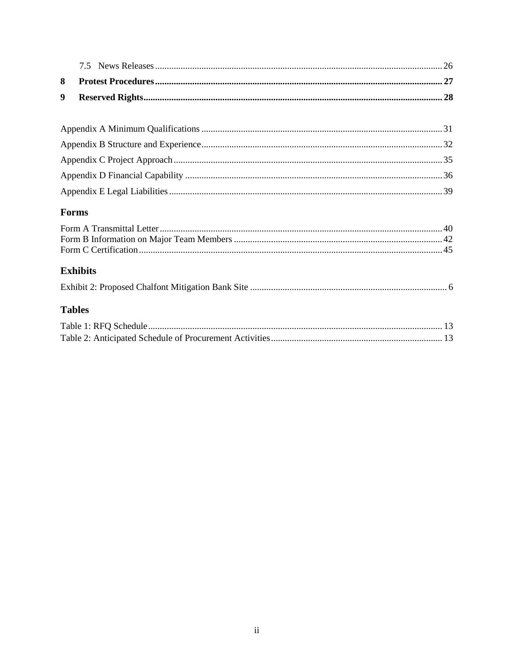# Forms

# **Exhibits**

|--|--|--|

# **Tables**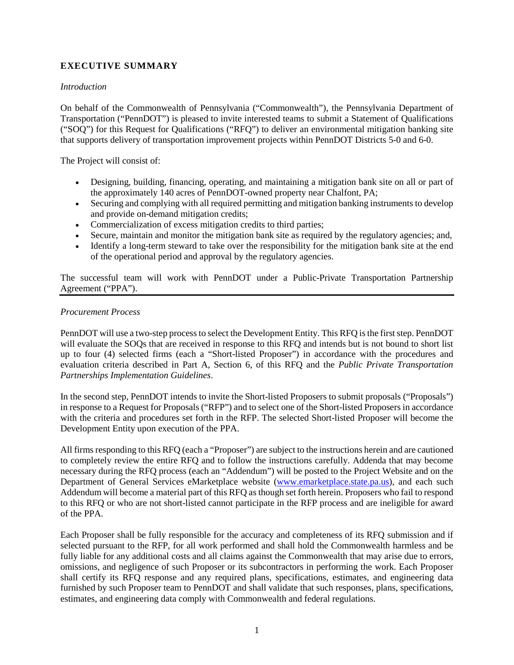## **EXECUTIVE SUMMARY**

#### *Introduction*

On behalf of the Commonwealth of Pennsylvania ("Commonwealth"), the Pennsylvania Department of Transportation ("PennDOT") is pleased to invite interested teams to submit a Statement of Qualifications ("SOQ") for this Request for Qualifications ("RFQ") to deliver an environmental mitigation banking site that supports delivery of transportation improvement projects within PennDOT Districts 5-0 and 6-0.

The Project will consist of:

- Designing, building, financing, operating, and maintaining a mitigation bank site on all or part of the approximately 140 acres of PennDOT-owned property near Chalfont, PA;
- Securing and complying with all required permitting and mitigation banking instruments to develop and provide on-demand mitigation credits;
- Commercialization of excess mitigation credits to third parties;
- Secure, maintain and monitor the mitigation bank site as required by the regulatory agencies; and,
- Identify a long-term steward to take over the responsibility for the mitigation bank site at the end of the operational period and approval by the regulatory agencies.

The successful team will work with PennDOT under a Public-Private Transportation Partnership Agreement ("PPA").

#### *Procurement Process*

PennDOT will use a two-step process to select the Development Entity. This RFQ is the first step. PennDOT will evaluate the SOOs that are received in response to this RFO and intends but is not bound to short list up to four (4) selected firms (each a "Short-listed Proposer") in accordance with the procedures and evaluation criteria described in Part A, Section 6, of this RFQ and the *Public Private Transportation Partnerships Implementation Guidelines*.

In the second step, PennDOT intends to invite the Short-listed Proposers to submit proposals ("Proposals") in response to a Request for Proposals ("RFP") and to select one of the Short-listed Proposers in accordance with the criteria and procedures set forth in the RFP. The selected Short-listed Proposer will become the Development Entity upon execution of the PPA.

All firms responding to this RFQ (each a "Proposer") are subject to the instructions herein and are cautioned to completely review the entire RFQ and to follow the instructions carefully. Addenda that may become necessary during the RFQ process (each an "Addendum") will be posted to the Project Website and on the Department of General Services eMarketplace website [\(www.emarketplace.state.pa.us\)](http://www.emarketplace.state.pa.us/), and each such Addendum will become a material part of this RFQ as though set forth herein. Proposers who fail to respond to this RFQ or who are not short-listed cannot participate in the RFP process and are ineligible for award of the PPA.

Each Proposer shall be fully responsible for the accuracy and completeness of its RFQ submission and if selected pursuant to the RFP, for all work performed and shall hold the Commonwealth harmless and be fully liable for any additional costs and all claims against the Commonwealth that may arise due to errors, omissions, and negligence of such Proposer or its subcontractors in performing the work. Each Proposer shall certify its RFQ response and any required plans, specifications, estimates, and engineering data furnished by such Proposer team to PennDOT and shall validate that such responses, plans, specifications, estimates, and engineering data comply with Commonwealth and federal regulations.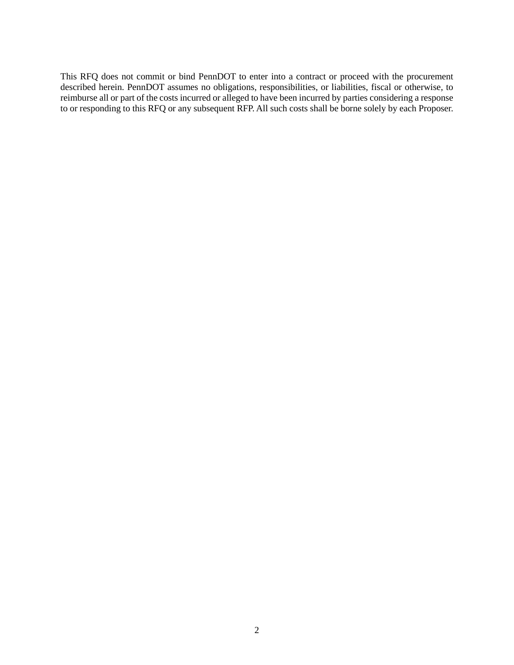This RFQ does not commit or bind PennDOT to enter into a contract or proceed with the procurement described herein. PennDOT assumes no obligations, responsibilities, or liabilities, fiscal or otherwise, to reimburse all or part of the costs incurred or alleged to have been incurred by parties considering a response to or responding to this RFQ or any subsequent RFP. All such costs shall be borne solely by each Proposer.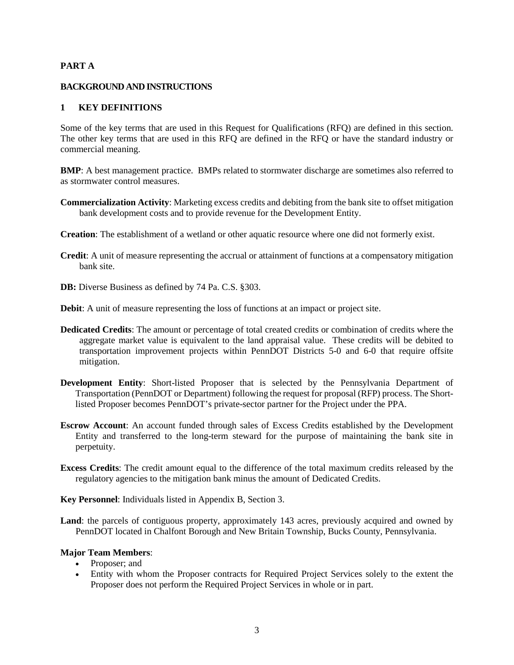#### **PART A**

#### **BACKGROUND AND INSTRUCTIONS**

#### <span id="page-6-0"></span>**1 KEY DEFINITIONS**

Some of the key terms that are used in this Request for Qualifications (RFQ) are defined in this section. The other key terms that are used in this RFQ are defined in the RFQ or have the standard industry or commercial meaning.

**BMP**: A best management practice. BMPs related to stormwater discharge are sometimes also referred to as stormwater control measures.

- **Commercialization Activity**: Marketing excess credits and debiting from the bank site to offset mitigation bank development costs and to provide revenue for the Development Entity.
- **Creation**: The establishment of a wetland or other aquatic resource where one did not formerly exist.
- **Credit**: A unit of measure representing the accrual or attainment of functions at a compensatory mitigation bank site.
- **DB:** Diverse Business as defined by 74 Pa. C.S. §303.
- **Debit**: A unit of measure representing the loss of functions at an impact or project site.
- **Dedicated Credits**: The amount or percentage of total created credits or combination of credits where the aggregate market value is equivalent to the land appraisal value. These credits will be debited to transportation improvement projects within PennDOT Districts 5-0 and 6-0 that require offsite mitigation.
- **Development Entity**: Short-listed Proposer that is selected by the Pennsylvania Department of Transportation (PennDOT or Department) following the request for proposal (RFP) process. The Shortlisted Proposer becomes PennDOT's private-sector partner for the Project under the PPA.
- **Escrow Account**: An account funded through sales of Excess Credits established by the Development Entity and transferred to the long-term steward for the purpose of maintaining the bank site in perpetuity.
- **Excess Credits**: The credit amount equal to the difference of the total maximum credits released by the regulatory agencies to the mitigation bank minus the amount of Dedicated Credits.

**Key Personnel**: Individuals listed in Appendix B, Section 3.

**Land**: the parcels of contiguous property, approximately 143 acres, previously acquired and owned by PennDOT located in Chalfont Borough and New Britain Township, Bucks County, Pennsylvania.

#### **Major Team Members**:

- Proposer; and
- Entity with whom the Proposer contracts for Required Project Services solely to the extent the Proposer does not perform the Required Project Services in whole or in part.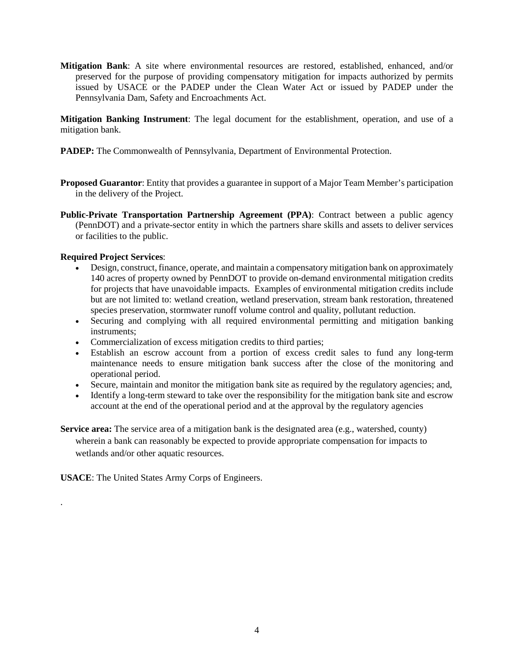**Mitigation Bank**: A site where environmental resources are restored, established, enhanced, and/or preserved for the purpose of providing compensatory mitigation for impacts authorized by permits issued by USACE or the PADEP under the Clean Water Act or issued by PADEP under the Pennsylvania Dam, Safety and Encroachments Act.

**Mitigation Banking Instrument**: The legal document for the establishment, operation, and use of a mitigation bank.

- **PADEP:** The Commonwealth of Pennsylvania, Department of Environmental Protection.
- **Proposed Guarantor**: Entity that provides a guarantee in support of a Major Team Member's participation in the delivery of the Project.
- **Public-Private Transportation Partnership Agreement (PPA):** Contract between a public agency (PennDOT) and a private-sector entity in which the partners share skills and assets to deliver services or facilities to the public.

#### **Required Project Services**:

.

- Design, construct, finance, operate, and maintain a compensatory mitigation bank on approximately 140 acres of property owned by PennDOT to provide on-demand environmental mitigation credits for projects that have unavoidable impacts. Examples of environmental mitigation credits include but are not limited to: wetland creation, wetland preservation, stream bank restoration, threatened species preservation, stormwater runoff volume control and quality, pollutant reduction.
- Securing and complying with all required environmental permitting and mitigation banking instruments;
- Commercialization of excess mitigation credits to third parties;
- Establish an escrow account from a portion of excess credit sales to fund any long-term maintenance needs to ensure mitigation bank success after the close of the monitoring and operational period.
- Secure, maintain and monitor the mitigation bank site as required by the regulatory agencies; and,
- Identify a long-term steward to take over the responsibility for the mitigation bank site and escrow account at the end of the operational period and at the approval by the regulatory agencies
- **Service area:** The service area of a mitigation bank is the designated area (e.g., watershed, county) wherein a bank can reasonably be expected to provide appropriate compensation for impacts to wetlands and/or other aquatic resources.

**USACE**: The United States Army Corps of Engineers.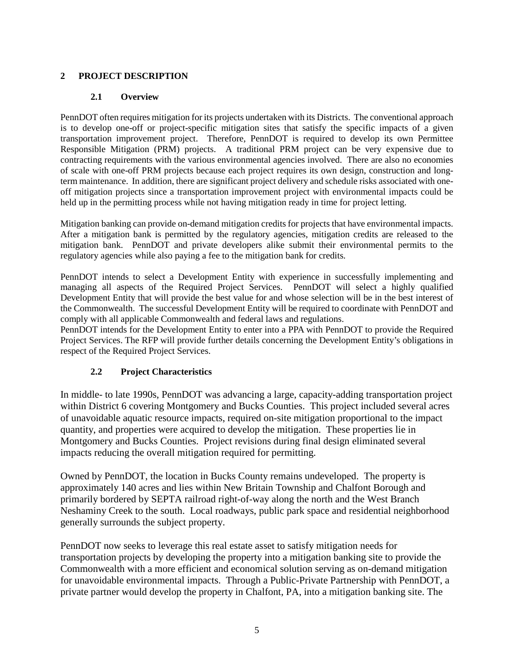# <span id="page-8-1"></span><span id="page-8-0"></span>**2 PROJECT DESCRIPTION**

# **2.1 Overview**

PennDOT often requires mitigation for its projects undertaken with its Districts. The conventional approach is to develop one-off or project-specific mitigation sites that satisfy the specific impacts of a given transportation improvement project. Therefore, PennDOT is required to develop its own Permittee Responsible Mitigation (PRM) projects. A traditional PRM project can be very expensive due to contracting requirements with the various environmental agencies involved. There are also no economies of scale with one-off PRM projects because each project requires its own design, construction and longterm maintenance. In addition, there are significant project delivery and schedule risks associated with oneoff mitigation projects since a transportation improvement project with environmental impacts could be held up in the permitting process while not having mitigation ready in time for project letting.

Mitigation banking can provide on-demand mitigation credits for projects that have environmental impacts. After a mitigation bank is permitted by the regulatory agencies, mitigation credits are released to the mitigation bank. PennDOT and private developers alike submit their environmental permits to the regulatory agencies while also paying a fee to the mitigation bank for credits.

PennDOT intends to select a Development Entity with experience in successfully implementing and managing all aspects of the Required Project Services. PennDOT will select a highly qualified Development Entity that will provide the best value for and whose selection will be in the best interest of the Commonwealth. The successful Development Entity will be required to coordinate with PennDOT and comply with all applicable Commonwealth and federal laws and regulations.

PennDOT intends for the Development Entity to enter into a PPA with PennDOT to provide the Required Project Services. The RFP will provide further details concerning the Development Entity's obligations in respect of the Required Project Services.

# **2.2 Project Characteristics**

<span id="page-8-2"></span>In middle- to late 1990s, PennDOT was advancing a large, capacity-adding transportation project within District 6 covering Montgomery and Bucks Counties. This project included several acres of unavoidable aquatic resource impacts, required on-site mitigation proportional to the impact quantity, and properties were acquired to develop the mitigation. These properties lie in Montgomery and Bucks Counties. Project revisions during final design eliminated several impacts reducing the overall mitigation required for permitting.

Owned by PennDOT, the location in Bucks County remains undeveloped. The property is approximately 140 acres and lies within New Britain Township and Chalfont Borough and primarily bordered by SEPTA railroad right-of-way along the north and the West Branch Neshaminy Creek to the south. Local roadways, public park space and residential neighborhood generally surrounds the subject property.

PennDOT now seeks to leverage this real estate asset to satisfy mitigation needs for transportation projects by developing the property into a mitigation banking site to provide the Commonwealth with a more efficient and economical solution serving as on-demand mitigation for unavoidable environmental impacts. Through a Public-Private Partnership with PennDOT, a private partner would develop the property in Chalfont, PA, into a mitigation banking site. The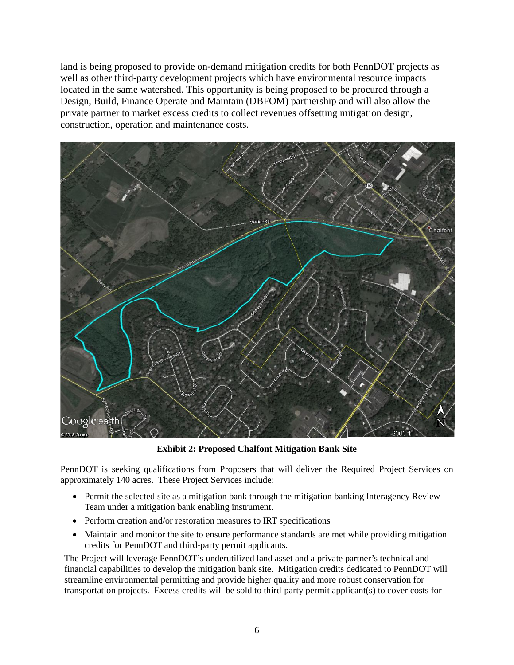land is being proposed to provide on-demand mitigation credits for both PennDOT projects as well as other third-party development projects which have environmental resource impacts located in the same watershed. This opportunity is being proposed to be procured through a Design, Build, Finance Operate and Maintain (DBFOM) partnership and will also allow the private partner to market excess credits to collect revenues offsetting mitigation design, construction, operation and maintenance costs.



**Exhibit 2: Proposed Chalfont Mitigation Bank Site**

<span id="page-9-0"></span>PennDOT is seeking qualifications from Proposers that will deliver the Required Project Services on approximately 140 acres. These Project Services include:

- Permit the selected site as a mitigation bank through the mitigation banking Interagency Review Team under a mitigation bank enabling instrument.
- Perform creation and/or restoration measures to IRT specifications
- Maintain and monitor the site to ensure performance standards are met while providing mitigation credits for PennDOT and third-party permit applicants.

The Project will leverage PennDOT's underutilized land asset and a private partner's technical and financial capabilities to develop the mitigation bank site. Mitigation credits dedicated to PennDOT will streamline environmental permitting and provide higher quality and more robust conservation for transportation projects. Excess credits will be sold to third-party permit applicant(s) to cover costs for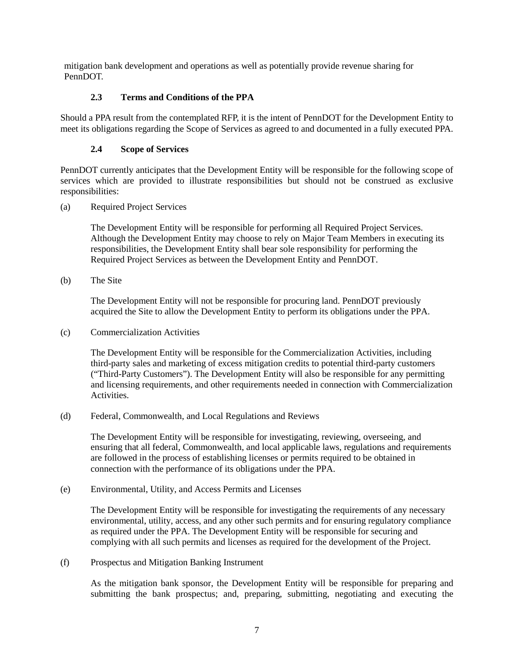<span id="page-10-0"></span>mitigation bank development and operations as well as potentially provide revenue sharing for PennDOT.

## **2.3 Terms and Conditions of the PPA**

Should a PPA result from the contemplated RFP, it is the intent of PennDOT for the Development Entity to meet its obligations regarding the Scope of Services as agreed to and documented in a fully executed PPA.

## **2.4 Scope of Services**

<span id="page-10-1"></span>PennDOT currently anticipates that the Development Entity will be responsible for the following scope of services which are provided to illustrate responsibilities but should not be construed as exclusive responsibilities:

(a) Required Project Services

The Development Entity will be responsible for performing all Required Project Services. Although the Development Entity may choose to rely on Major Team Members in executing its responsibilities, the Development Entity shall bear sole responsibility for performing the Required Project Services as between the Development Entity and PennDOT.

(b) The Site

The Development Entity will not be responsible for procuring land. PennDOT previously acquired the Site to allow the Development Entity to perform its obligations under the PPA.

(c) Commercialization Activities

The Development Entity will be responsible for the Commercialization Activities, including third-party sales and marketing of excess mitigation credits to potential third-party customers ("Third-Party Customers"). The Development Entity will also be responsible for any permitting and licensing requirements, and other requirements needed in connection with Commercialization Activities.

(d) Federal, Commonwealth, and Local Regulations and Reviews

The Development Entity will be responsible for investigating, reviewing, overseeing, and ensuring that all federal, Commonwealth, and local applicable laws, regulations and requirements are followed in the process of establishing licenses or permits required to be obtained in connection with the performance of its obligations under the PPA.

(e) Environmental, Utility, and Access Permits and Licenses

The Development Entity will be responsible for investigating the requirements of any necessary environmental, utility, access, and any other such permits and for ensuring regulatory compliance as required under the PPA. The Development Entity will be responsible for securing and complying with all such permits and licenses as required for the development of the Project.

(f) Prospectus and Mitigation Banking Instrument

As the mitigation bank sponsor, the Development Entity will be responsible for preparing and submitting the bank prospectus; and, preparing, submitting, negotiating and executing the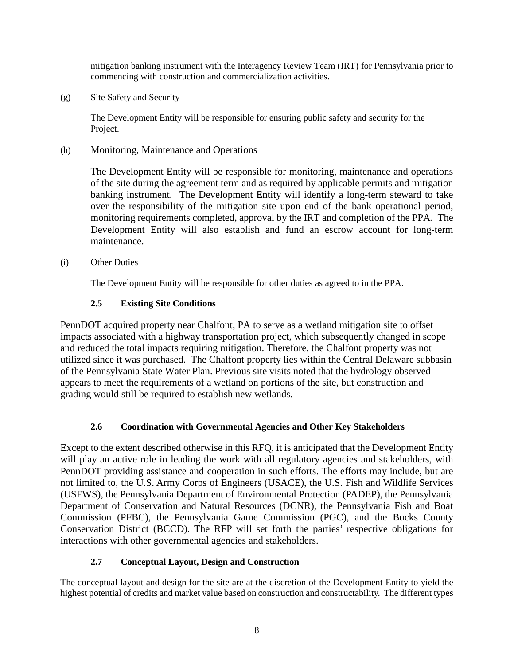mitigation banking instrument with the Interagency Review Team (IRT) for Pennsylvania prior to commencing with construction and commercialization activities.

(g) Site Safety and Security

The Development Entity will be responsible for ensuring public safety and security for the Project.

(h) Monitoring, Maintenance and Operations

The Development Entity will be responsible for monitoring, maintenance and operations of the site during the agreement term and as required by applicable permits and mitigation banking instrument. The Development Entity will identify a long-term steward to take over the responsibility of the mitigation site upon end of the bank operational period, monitoring requirements completed, approval by the IRT and completion of the PPA. The Development Entity will also establish and fund an escrow account for long-term maintenance.

(i) Other Duties

The Development Entity will be responsible for other duties as agreed to in the PPA.

# **2.5 Existing Site Conditions**

<span id="page-11-0"></span>PennDOT acquired property near Chalfont, PA to serve as a wetland mitigation site to offset impacts associated with a highway transportation project, which subsequently changed in scope and reduced the total impacts requiring mitigation. Therefore, the Chalfont property was not utilized since it was purchased. The Chalfont property lies within the Central Delaware subbasin of the Pennsylvania State Water Plan. Previous site visits noted that the hydrology observed appears to meet the requirements of a wetland on portions of the site, but construction and grading would still be required to establish new wetlands.

# **2.6 Coordination with Governmental Agencies and Other Key Stakeholders**

<span id="page-11-1"></span>Except to the extent described otherwise in this RFQ, it is anticipated that the Development Entity will play an active role in leading the work with all regulatory agencies and stakeholders, with PennDOT providing assistance and cooperation in such efforts. The efforts may include, but are not limited to, the U.S. Army Corps of Engineers (USACE), the U.S. Fish and Wildlife Services (USFWS), the Pennsylvania Department of Environmental Protection (PADEP), the Pennsylvania Department of Conservation and Natural Resources (DCNR), the Pennsylvania Fish and Boat Commission (PFBC), the Pennsylvania Game Commission (PGC), and the Bucks County Conservation District (BCCD). The RFP will set forth the parties' respective obligations for interactions with other governmental agencies and stakeholders.

# **2.7 Conceptual Layout, Design and Construction**

<span id="page-11-2"></span>The conceptual layout and design for the site are at the discretion of the Development Entity to yield the highest potential of credits and market value based on construction and constructability. The different types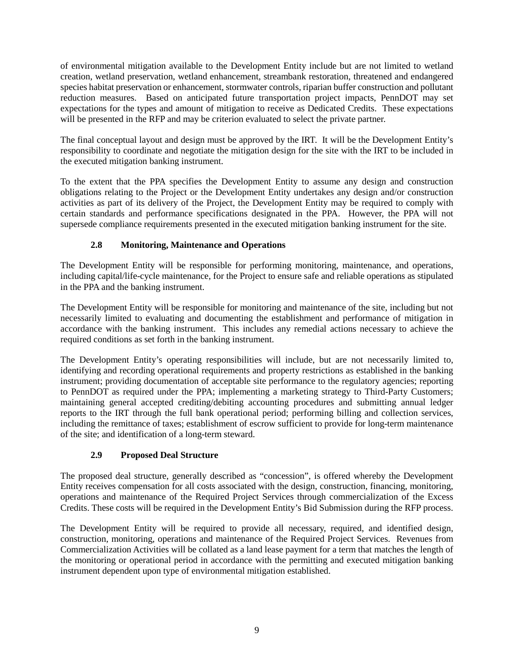of environmental mitigation available to the Development Entity include but are not limited to wetland creation, wetland preservation, wetland enhancement, streambank restoration, threatened and endangered species habitat preservation or enhancement, stormwater controls, riparian buffer construction and pollutant reduction measures. Based on anticipated future transportation project impacts, PennDOT may set expectations for the types and amount of mitigation to receive as Dedicated Credits. These expectations will be presented in the RFP and may be criterion evaluated to select the private partner.

The final conceptual layout and design must be approved by the IRT. It will be the Development Entity's responsibility to coordinate and negotiate the mitigation design for the site with the IRT to be included in the executed mitigation banking instrument.

To the extent that the PPA specifies the Development Entity to assume any design and construction obligations relating to the Project or the Development Entity undertakes any design and/or construction activities as part of its delivery of the Project, the Development Entity may be required to comply with certain standards and performance specifications designated in the PPA. However, the PPA will not supersede compliance requirements presented in the executed mitigation banking instrument for the site.

# **2.8 Monitoring, Maintenance and Operations**

<span id="page-12-0"></span>The Development Entity will be responsible for performing monitoring, maintenance, and operations, including capital/life-cycle maintenance, for the Project to ensure safe and reliable operations as stipulated in the PPA and the banking instrument.

The Development Entity will be responsible for monitoring and maintenance of the site, including but not necessarily limited to evaluating and documenting the establishment and performance of mitigation in accordance with the banking instrument. This includes any remedial actions necessary to achieve the required conditions as set forth in the banking instrument.

The Development Entity's operating responsibilities will include, but are not necessarily limited to, identifying and recording operational requirements and property restrictions as established in the banking instrument; providing documentation of acceptable site performance to the regulatory agencies; reporting to PennDOT as required under the PPA; implementing a marketing strategy to Third-Party Customers; maintaining general accepted crediting/debiting accounting procedures and submitting annual ledger reports to the IRT through the full bank operational period; performing billing and collection services, including the remittance of taxes; establishment of escrow sufficient to provide for long-term maintenance of the site; and identification of a long-term steward.

# **2.9 Proposed Deal Structure**

<span id="page-12-1"></span>The proposed deal structure, generally described as "concession", is offered whereby the Development Entity receives compensation for all costs associated with the design, construction, financing, monitoring, operations and maintenance of the Required Project Services through commercialization of the Excess Credits. These costs will be required in the Development Entity's Bid Submission during the RFP process.

The Development Entity will be required to provide all necessary, required, and identified design, construction, monitoring, operations and maintenance of the Required Project Services. Revenues from Commercialization Activities will be collated as a land lease payment for a term that matches the length of the monitoring or operational period in accordance with the permitting and executed mitigation banking instrument dependent upon type of environmental mitigation established.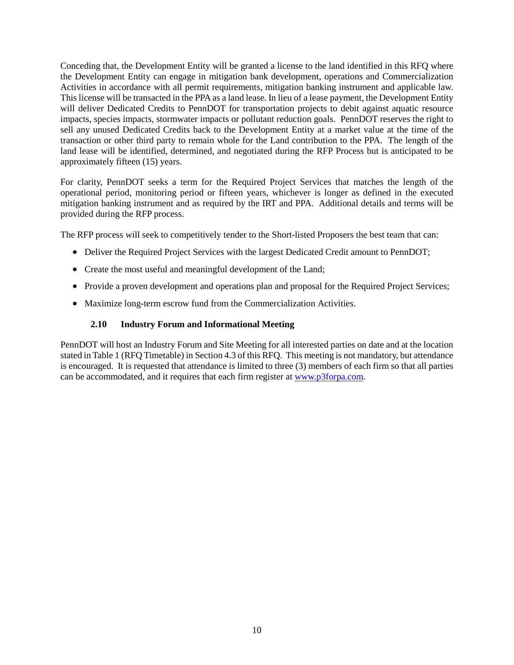Conceding that, the Development Entity will be granted a license to the land identified in this RFQ where the Development Entity can engage in mitigation bank development, operations and Commercialization Activities in accordance with all permit requirements, mitigation banking instrument and applicable law. This license will be transacted in the PPA as a land lease. In lieu of a lease payment, the Development Entity will deliver Dedicated Credits to PennDOT for transportation projects to debit against aquatic resource impacts, species impacts, stormwater impacts or pollutant reduction goals. PennDOT reserves the right to sell any unused Dedicated Credits back to the Development Entity at a market value at the time of the transaction or other third party to remain whole for the Land contribution to the PPA. The length of the land lease will be identified, determined, and negotiated during the RFP Process but is anticipated to be approximately fifteen (15) years.

For clarity, PennDOT seeks a term for the Required Project Services that matches the length of the operational period, monitoring period or fifteen years, whichever is longer as defined in the executed mitigation banking instrument and as required by the IRT and PPA. Additional details and terms will be provided during the RFP process.

The RFP process will seek to competitively tender to the Short-listed Proposers the best team that can:

- Deliver the Required Project Services with the largest Dedicated Credit amount to PennDOT;
- Create the most useful and meaningful development of the Land;
- Provide a proven development and operations plan and proposal for the Required Project Services;
- <span id="page-13-0"></span>• Maximize long-term escrow fund from the Commercialization Activities.

#### **2.10 Industry Forum and Informational Meeting**

PennDOT will host an Industry Forum and Site Meeting for all interested parties on date and at the location stated in Table 1 (RFQ Timetable) in Section 4.3 of this RFQ. This meeting is not mandatory, but attendance is encouraged. It is requested that attendance is limited to three (3) members of each firm so that all parties can be accommodated, and it requires that each firm register at [www.p3forpa.com.](http://www.p3forpa.com/)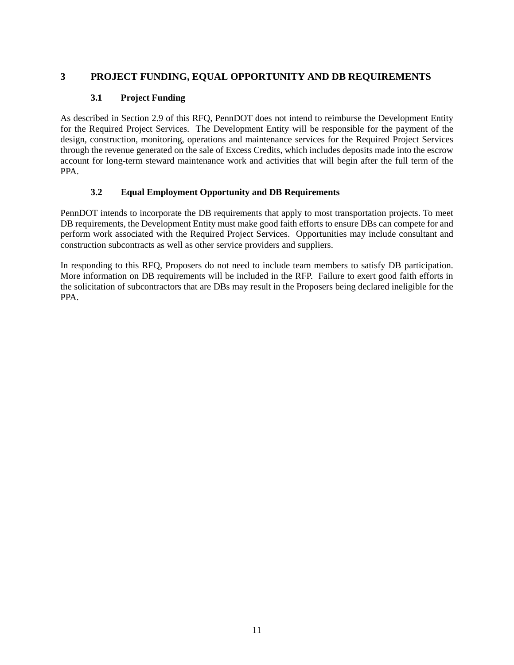# <span id="page-14-1"></span><span id="page-14-0"></span>**3 PROJECT FUNDING, EQUAL OPPORTUNITY AND DB REQUIREMENTS**

## **3.1 Project Funding**

As described in Section 2.9 of this RFQ, PennDOT does not intend to reimburse the Development Entity for the Required Project Services. The Development Entity will be responsible for the payment of the design, construction, monitoring, operations and maintenance services for the Required Project Services through the revenue generated on the sale of Excess Credits, which includes deposits made into the escrow account for long-term steward maintenance work and activities that will begin after the full term of the PPA.

## **3.2 Equal Employment Opportunity and DB Requirements**

<span id="page-14-2"></span>PennDOT intends to incorporate the DB requirements that apply to most transportation projects. To meet DB requirements, the Development Entity must make good faith efforts to ensure DBs can compete for and perform work associated with the Required Project Services. Opportunities may include consultant and construction subcontracts as well as other service providers and suppliers.

In responding to this RFQ, Proposers do not need to include team members to satisfy DB participation. More information on DB requirements will be included in the RFP. Failure to exert good faith efforts in the solicitation of subcontractors that are DBs may result in the Proposers being declared ineligible for the PPA.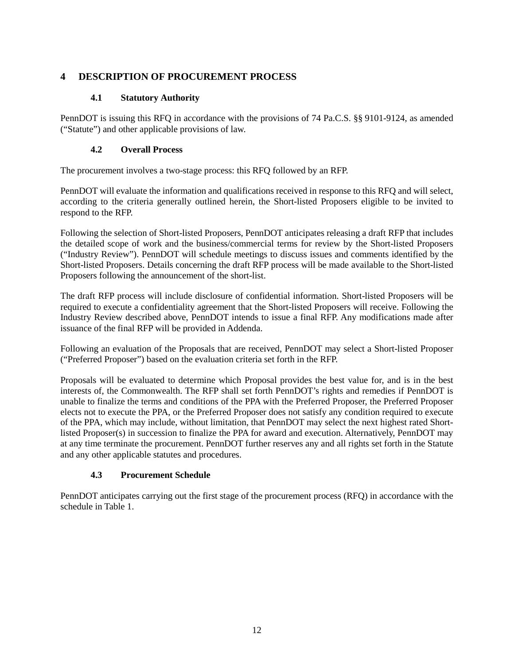# <span id="page-15-0"></span>**4 DESCRIPTION OF PROCUREMENT PROCESS**

## **4.1 Statutory Authority**

<span id="page-15-1"></span>PennDOT is issuing this RFQ in accordance with the provisions of 74 Pa.C.S. §§ 9101-9124, as amended ("Statute") and other applicable provisions of law.

# **4.2 Overall Process**

<span id="page-15-2"></span>The procurement involves a two-stage process: this RFQ followed by an RFP.

PennDOT will evaluate the information and qualifications received in response to this RFQ and will select, according to the criteria generally outlined herein, the Short-listed Proposers eligible to be invited to respond to the RFP.

Following the selection of Short-listed Proposers, PennDOT anticipates releasing a draft RFP that includes the detailed scope of work and the business/commercial terms for review by the Short-listed Proposers ("Industry Review"). PennDOT will schedule meetings to discuss issues and comments identified by the Short-listed Proposers. Details concerning the draft RFP process will be made available to the Short-listed Proposers following the announcement of the short-list.

The draft RFP process will include disclosure of confidential information. Short-listed Proposers will be required to execute a confidentiality agreement that the Short-listed Proposers will receive. Following the Industry Review described above, PennDOT intends to issue a final RFP. Any modifications made after issuance of the final RFP will be provided in Addenda.

Following an evaluation of the Proposals that are received, PennDOT may select a Short-listed Proposer ("Preferred Proposer") based on the evaluation criteria set forth in the RFP.

Proposals will be evaluated to determine which Proposal provides the best value for, and is in the best interests of, the Commonwealth. The RFP shall set forth PennDOT's rights and remedies if PennDOT is unable to finalize the terms and conditions of the PPA with the Preferred Proposer, the Preferred Proposer elects not to execute the PPA, or the Preferred Proposer does not satisfy any condition required to execute of the PPA, which may include, without limitation, that PennDOT may select the next highest rated Shortlisted Proposer(s) in succession to finalize the PPA for award and execution. Alternatively, PennDOT may at any time terminate the procurement. PennDOT further reserves any and all rights set forth in the Statute and any other applicable statutes and procedures.

# **4.3 Procurement Schedule**

<span id="page-15-3"></span>PennDOT anticipates carrying out the first stage of the procurement process (RFQ) in accordance with the schedule in Table 1.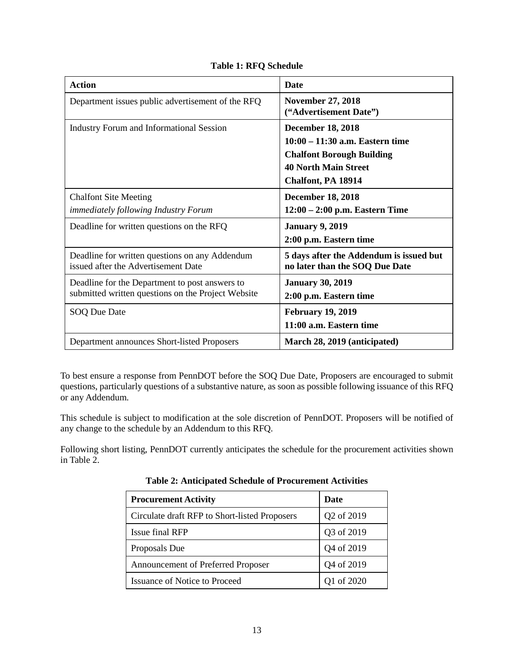<span id="page-16-0"></span>

| <b>Action</b>                                                                                        | <b>Date</b>                                                               |
|------------------------------------------------------------------------------------------------------|---------------------------------------------------------------------------|
| Department issues public advertisement of the RFQ                                                    | <b>November 27, 2018</b><br>("Advertisement Date")                        |
| <b>Industry Forum and Informational Session</b>                                                      | <b>December 18, 2018</b>                                                  |
|                                                                                                      | 10:00 - 11:30 a.m. Eastern time<br><b>Chalfont Borough Building</b>       |
|                                                                                                      | <b>40 North Main Street</b>                                               |
|                                                                                                      | Chalfont, PA 18914                                                        |
| <b>Chalfont Site Meeting</b>                                                                         | <b>December 18, 2018</b>                                                  |
| <i>immediately following Industry Forum</i>                                                          | $12:00 - 2:00$ p.m. Eastern Time                                          |
| Deadline for written questions on the RFQ                                                            | <b>January 9, 2019</b>                                                    |
|                                                                                                      | 2:00 p.m. Eastern time                                                    |
| Deadline for written questions on any Addendum<br>issued after the Advertisement Date                | 5 days after the Addendum is issued but<br>no later than the SOQ Due Date |
| Deadline for the Department to post answers to<br>submitted written questions on the Project Website | <b>January 30, 2019</b><br>2:00 p.m. Eastern time                         |
|                                                                                                      |                                                                           |
| SOQ Due Date                                                                                         | <b>February 19, 2019</b><br>11:00 a.m. Eastern time                       |
| Department announces Short-listed Proposers                                                          | March 28, 2019 (anticipated)                                              |

**Table 1: RFQ Schedule**

To best ensure a response from PennDOT before the SOQ Due Date, Proposers are encouraged to submit questions, particularly questions of a substantive nature, as soon as possible following issuance of this RFQ or any Addendum.

This schedule is subject to modification at the sole discretion of PennDOT. Proposers will be notified of any change to the schedule by an Addendum to this RFQ.

<span id="page-16-1"></span>Following short listing, PennDOT currently anticipates the schedule for the procurement activities shown in Table 2.

| <b>Procurement Activity</b>                   | Date       |
|-----------------------------------------------|------------|
| Circulate draft RFP to Short-listed Proposers | Q2 of 2019 |
| Issue final RFP                               | Q3 of 2019 |
| Proposals Due                                 | Q4 of 2019 |
| Announcement of Preferred Proposer            | Q4 of 2019 |
| <b>Issuance of Notice to Proceed</b>          | Q1 of 2020 |

**Table 2: Anticipated Schedule of Procurement Activities**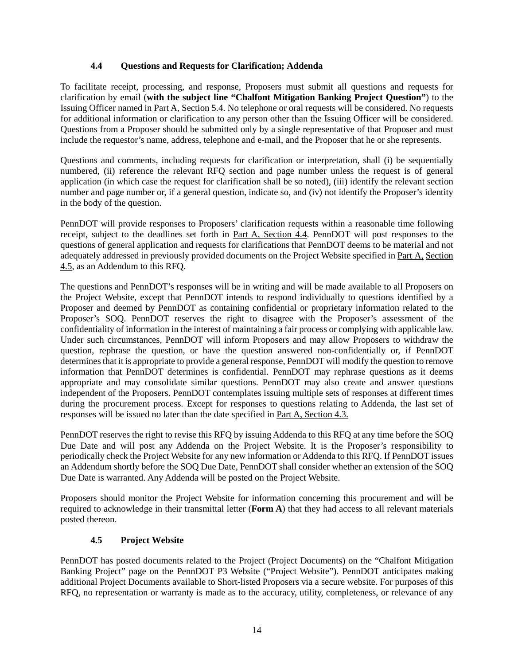## **4.4 Questions and Requests for Clarification; Addenda**

<span id="page-17-0"></span>To facilitate receipt, processing, and response, Proposers must submit all questions and requests for clarification by email (**with the subject line "Chalfont Mitigation Banking Project Question"**) to the Issuing Officer named in Part A, Section 5.4. No telephone or oral requests will be considered. No requests for additional information or clarification to any person other than the Issuing Officer will be considered. Questions from a Proposer should be submitted only by a single representative of that Proposer and must include the requestor's name, address, telephone and e-mail, and the Proposer that he or she represents.

Questions and comments, including requests for clarification or interpretation, shall (i) be sequentially numbered, (ii) reference the relevant RFQ section and page number unless the request is of general application (in which case the request for clarification shall be so noted), (iii) identify the relevant section number and page number or, if a general question, indicate so, and (iv) not identify the Proposer's identity in the body of the question.

PennDOT will provide responses to Proposers' clarification requests within a reasonable time following receipt, subject to the deadlines set forth in Part A, Section 4.4. PennDOT will post responses to the questions of general application and requests for clarifications that PennDOT deems to be material and not adequately addressed in previously provided documents on the Project Website specified in Part A, Section 4.5, as an Addendum to this RFQ.

The questions and PennDOT's responses will be in writing and will be made available to all Proposers on the Project Website, except that PennDOT intends to respond individually to questions identified by a Proposer and deemed by PennDOT as containing confidential or proprietary information related to the Proposer's SOQ. PennDOT reserves the right to disagree with the Proposer's assessment of the confidentiality of information in the interest of maintaining a fair process or complying with applicable law. Under such circumstances, PennDOT will inform Proposers and may allow Proposers to withdraw the question, rephrase the question, or have the question answered non-confidentially or, if PennDOT determines that it is appropriate to provide a general response, PennDOT will modify the question to remove information that PennDOT determines is confidential. PennDOT may rephrase questions as it deems appropriate and may consolidate similar questions. PennDOT may also create and answer questions independent of the Proposers. PennDOT contemplates issuing multiple sets of responses at different times during the procurement process. Except for responses to questions relating to Addenda, the last set of responses will be issued no later than the date specified in Part A, Section 4.3.

PennDOT reserves the right to revise this RFQ by issuing Addenda to this RFQ at any time before the SOQ Due Date and will post any Addenda on the Project Website. It is the Proposer's responsibility to periodically check the Project Website for any new information or Addenda to this RFQ. If PennDOT issues an Addendum shortly before the SOQ Due Date, PennDOT shall consider whether an extension of the SOQ Due Date is warranted. Any Addenda will be posted on the Project Website.

Proposers should monitor the Project Website for information concerning this procurement and will be required to acknowledge in their transmittal letter (**Form A**) that they had access to all relevant materials posted thereon.

## **4.5 Project Website**

<span id="page-17-1"></span>PennDOT has posted documents related to the Project (Project Documents) on the "Chalfont Mitigation Banking Project" page on the PennDOT P3 Website ("Project Website"). PennDOT anticipates making additional Project Documents available to Short-listed Proposers via a secure website. For purposes of this RFQ, no representation or warranty is made as to the accuracy, utility, completeness, or relevance of any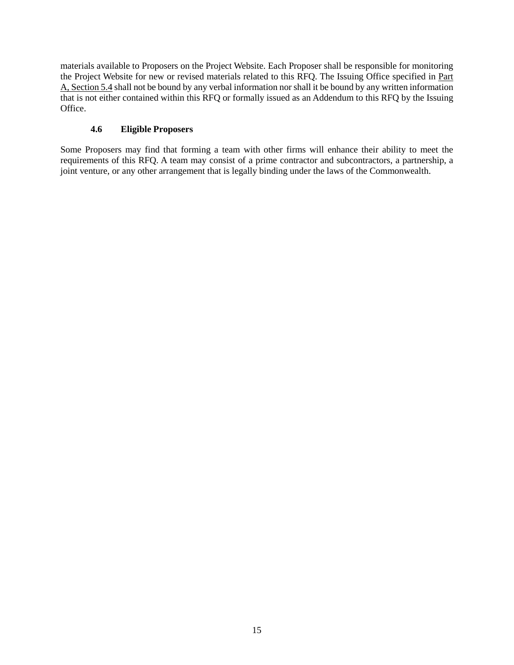materials available to Proposers on the Project Website. Each Proposer shall be responsible for monitoring the Project Website for new or revised materials related to this RFQ. The Issuing Office specified in Part A, Section 5.4 shall not be bound by any verbal information nor shall it be bound by any written information that is not either contained within this RFQ or formally issued as an Addendum to this RFQ by the Issuing Office.

# **4.6 Eligible Proposers**

<span id="page-18-0"></span>Some Proposers may find that forming a team with other firms will enhance their ability to meet the requirements of this RFQ. A team may consist of a prime contractor and subcontractors, a partnership, a joint venture, or any other arrangement that is legally binding under the laws of the Commonwealth.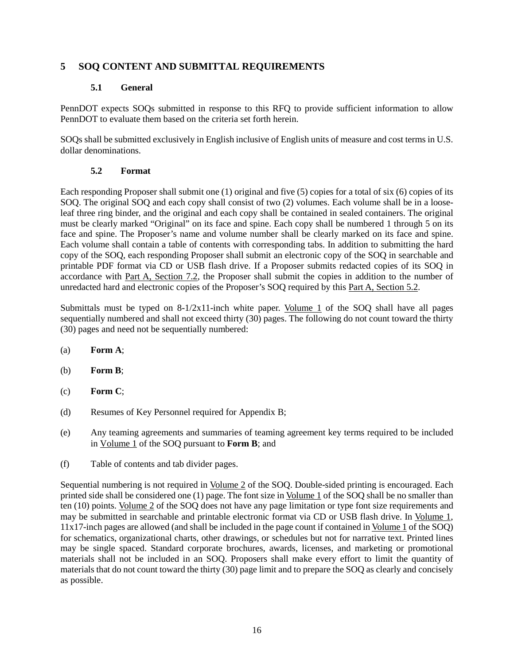# <span id="page-19-1"></span><span id="page-19-0"></span>**5 SOQ CONTENT AND SUBMITTAL REQUIREMENTS**

## **5.1 General**

PennDOT expects SOQs submitted in response to this RFQ to provide sufficient information to allow PennDOT to evaluate them based on the criteria set forth herein.

SOQs shall be submitted exclusively in English inclusive of English units of measure and cost terms in U.S. dollar denominations.

## **5.2 Format**

<span id="page-19-2"></span>Each responding Proposer shall submit one (1) original and five (5) copies for a total of six (6) copies of its SOQ. The original SOQ and each copy shall consist of two (2) volumes. Each volume shall be in a looseleaf three ring binder, and the original and each copy shall be contained in sealed containers. The original must be clearly marked "Original" on its face and spine. Each copy shall be numbered 1 through 5 on its face and spine. The Proposer's name and volume number shall be clearly marked on its face and spine. Each volume shall contain a table of contents with corresponding tabs. In addition to submitting the hard copy of the SOQ, each responding Proposer shall submit an electronic copy of the SOQ in searchable and printable PDF format via CD or USB flash drive. If a Proposer submits redacted copies of its SOQ in accordance with Part A, Section 7.2, the Proposer shall submit the copies in addition to the number of unredacted hard and electronic copies of the Proposer's SOQ required by this Part A, Section 5.2.

Submittals must be typed on  $8-1/2x11$ -inch white paper. Volume 1 of the SOQ shall have all pages sequentially numbered and shall not exceed thirty (30) pages. The following do not count toward the thirty (30) pages and need not be sequentially numbered:

- (a) **Form A**;
- (b) **Form B**;
- (c) **Form C**;
- (d) Resumes of Key Personnel required for Appendix B;
- (e) Any teaming agreements and summaries of teaming agreement key terms required to be included in Volume 1 of the SOQ pursuant to **Form B**; and
- (f) Table of contents and tab divider pages.

Sequential numbering is not required in Volume 2 of the SOQ. Double-sided printing is encouraged. Each printed side shall be considered one (1) page. The font size in Volume 1 of the SOQ shall be no smaller than ten (10) points. Volume 2 of the SOQ does not have any page limitation or type font size requirements and may be submitted in searchable and printable electronic format via CD or USB flash drive. In Volume 1, 11x17-inch pages are allowed (and shall be included in the page count if contained in Volume 1 of the SOQ) for schematics, organizational charts, other drawings, or schedules but not for narrative text. Printed lines may be single spaced. Standard corporate brochures, awards, licenses, and marketing or promotional materials shall not be included in an SOQ. Proposers shall make every effort to limit the quantity of materials that do not count toward the thirty (30) page limit and to prepare the SOQ as clearly and concisely as possible.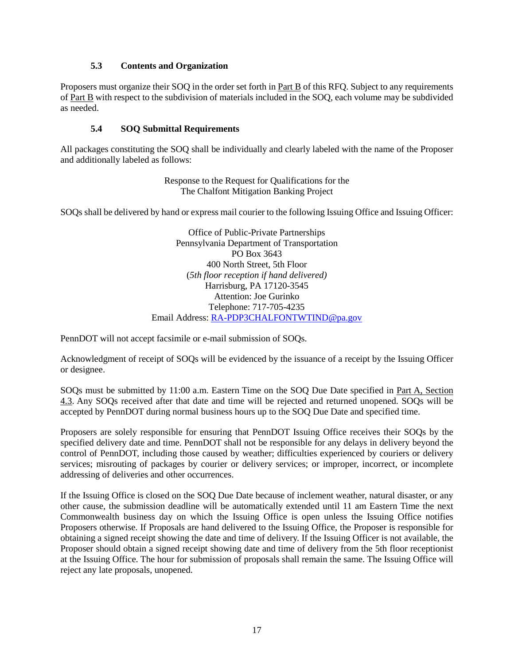#### **5.3 Contents and Organization**

<span id="page-20-0"></span>Proposers must organize their SOQ in the order set forth in Part B of this RFQ. Subject to any requirements of Part B with respect to the subdivision of materials included in the SOQ, each volume may be subdivided as needed.

#### **5.4 SOQ Submittal Requirements**

<span id="page-20-1"></span>All packages constituting the SOQ shall be individually and clearly labeled with the name of the Proposer and additionally labeled as follows:

> Response to the Request for Qualifications for the The Chalfont Mitigation Banking Project

SOQs shall be delivered by hand or express mail courier to the following Issuing Office and Issuing Officer:

Office of Public-Private Partnerships Pennsylvania Department of Transportation PO Box 3643 400 North Street, 5th Floor (*5th floor reception if hand delivered)* Harrisburg, PA 17120-3545 Attention: Joe Gurinko Telephone: 717-705-4235 Email Address: [RA-PDP3CHALFONTWTIND@pa.gov](mailto:P3ChalfontWtlndMit@pa.gov)

PennDOT will not accept facsimile or e-mail submission of SOQs.

Acknowledgment of receipt of SOQs will be evidenced by the issuance of a receipt by the Issuing Officer or designee.

SOQs must be submitted by 11:00 a.m. Eastern Time on the SOQ Due Date specified in Part A, Section 4.3. Any SOQs received after that date and time will be rejected and returned unopened. SOQs will be accepted by PennDOT during normal business hours up to the SOQ Due Date and specified time.

Proposers are solely responsible for ensuring that PennDOT Issuing Office receives their SOQs by the specified delivery date and time. PennDOT shall not be responsible for any delays in delivery beyond the control of PennDOT, including those caused by weather; difficulties experienced by couriers or delivery services; misrouting of packages by courier or delivery services; or improper, incorrect, or incomplete addressing of deliveries and other occurrences.

If the Issuing Office is closed on the SOQ Due Date because of inclement weather, natural disaster, or any other cause, the submission deadline will be automatically extended until 11 am Eastern Time the next Commonwealth business day on which the Issuing Office is open unless the Issuing Office notifies Proposers otherwise. If Proposals are hand delivered to the Issuing Office, the Proposer is responsible for obtaining a signed receipt showing the date and time of delivery. If the Issuing Officer is not available, the Proposer should obtain a signed receipt showing date and time of delivery from the 5th floor receptionist at the Issuing Office. The hour for submission of proposals shall remain the same. The Issuing Office will reject any late proposals, unopened.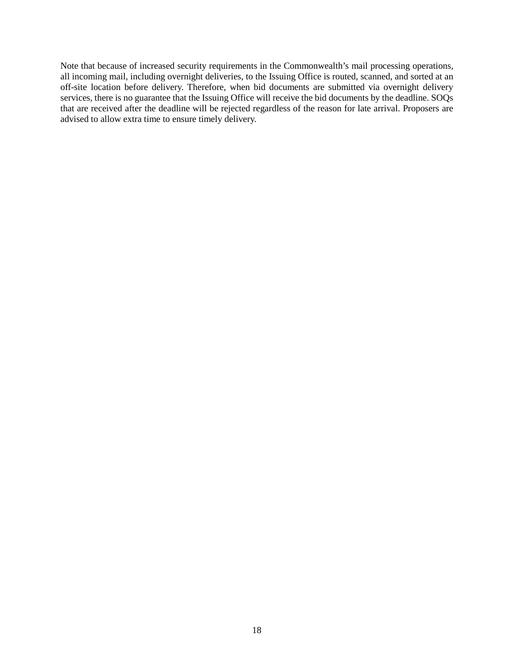Note that because of increased security requirements in the Commonwealth's mail processing operations, all incoming mail, including overnight deliveries, to the Issuing Office is routed, scanned, and sorted at an off-site location before delivery. Therefore, when bid documents are submitted via overnight delivery services, there is no guarantee that the Issuing Office will receive the bid documents by the deadline. SOQs that are received after the deadline will be rejected regardless of the reason for late arrival. Proposers are advised to allow extra time to ensure timely delivery.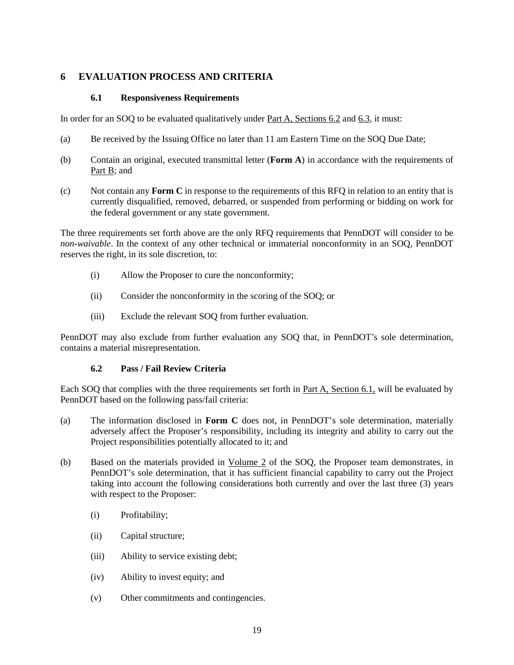# <span id="page-22-0"></span>**6 EVALUATION PROCESS AND CRITERIA**

#### **6.1 Responsiveness Requirements**

<span id="page-22-1"></span>In order for an SOQ to be evaluated qualitatively under Part A, Sections 6.2 and 6.3, it must:

- (a) Be received by the Issuing Office no later than 11 am Eastern Time on the SOQ Due Date;
- (b) Contain an original, executed transmittal letter (**Form A**) in accordance with the requirements of Part B; and
- (c) Not contain any **Form C** in response to the requirements of this RFQ in relation to an entity that is currently disqualified, removed, debarred, or suspended from performing or bidding on work for the federal government or any state government.

The three requirements set forth above are the only RFQ requirements that PennDOT will consider to be *non-waivable*. In the context of any other technical or immaterial nonconformity in an SOQ, PennDOT reserves the right, in its sole discretion, to:

- (i) Allow the Proposer to cure the nonconformity;
- (ii) Consider the nonconformity in the scoring of the SOQ; or
- (iii) Exclude the relevant SOQ from further evaluation.

PennDOT may also exclude from further evaluation any SOQ that, in PennDOT's sole determination, contains a material misrepresentation.

#### **6.2 Pass / Fail Review Criteria**

<span id="page-22-2"></span>Each SOQ that complies with the three requirements set forth in Part A, Section 6.1, will be evaluated by PennDOT based on the following pass/fail criteria:

- (a) The information disclosed in **Form C** does not, in PennDOT's sole determination, materially adversely affect the Proposer's responsibility, including its integrity and ability to carry out the Project responsibilities potentially allocated to it; and
- (b) Based on the materials provided in Volume 2 of the SOQ, the Proposer team demonstrates, in PennDOT's sole determination, that it has sufficient financial capability to carry out the Project taking into account the following considerations both currently and over the last three (3) years with respect to the Proposer:
	- (i) Profitability;
	- (ii) Capital structure;
	- (iii) Ability to service existing debt;
	- (iv) Ability to invest equity; and
	- (v) Other commitments and contingencies.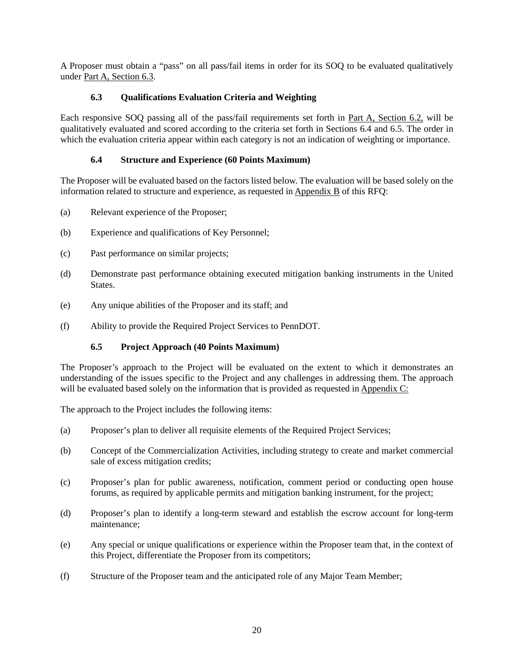A Proposer must obtain a "pass" on all pass/fail items in order for its SOQ to be evaluated qualitatively under Part A, Section 6.3.

## **6.3 Qualifications Evaluation Criteria and Weighting**

<span id="page-23-0"></span>Each responsive SOQ passing all of the pass/fail requirements set forth in Part A, Section 6.2, will be qualitatively evaluated and scored according to the criteria set forth in Sections 6.4 and 6.5. The order in which the evaluation criteria appear within each category is not an indication of weighting or importance.

## **6.4 Structure and Experience (60 Points Maximum)**

<span id="page-23-1"></span>The Proposer will be evaluated based on the factors listed below. The evaluation will be based solely on the information related to structure and experience, as requested in Appendix B of this RFQ:

- (a) Relevant experience of the Proposer;
- (b) Experience and qualifications of Key Personnel;
- (c) Past performance on similar projects;
- (d) Demonstrate past performance obtaining executed mitigation banking instruments in the United States.
- (e) Any unique abilities of the Proposer and its staff; and
- <span id="page-23-2"></span>(f) Ability to provide the Required Project Services to PennDOT.

## **6.5 Project Approach (40 Points Maximum)**

The Proposer's approach to the Project will be evaluated on the extent to which it demonstrates an understanding of the issues specific to the Project and any challenges in addressing them. The approach will be evaluated based solely on the information that is provided as requested in Appendix C:

The approach to the Project includes the following items:

- (a) Proposer's plan to deliver all requisite elements of the Required Project Services;
- (b) Concept of the Commercialization Activities, including strategy to create and market commercial sale of excess mitigation credits;
- (c) Proposer's plan for public awareness, notification, comment period or conducting open house forums, as required by applicable permits and mitigation banking instrument, for the project;
- (d) Proposer's plan to identify a long-term steward and establish the escrow account for long-term maintenance;
- (e) Any special or unique qualifications or experience within the Proposer team that, in the context of this Project, differentiate the Proposer from its competitors;
- (f) Structure of the Proposer team and the anticipated role of any Major Team Member;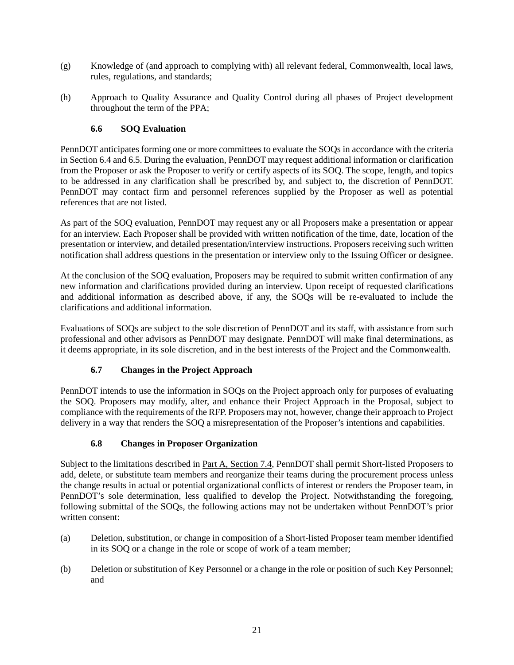- (g) Knowledge of (and approach to complying with) all relevant federal, Commonwealth, local laws, rules, regulations, and standards;
- (h) Approach to Quality Assurance and Quality Control during all phases of Project development throughout the term of the PPA;

## **6.6 SOQ Evaluation**

<span id="page-24-0"></span>PennDOT anticipates forming one or more committees to evaluate the SOQs in accordance with the criteria in Section 6.4 and 6.5. During the evaluation, PennDOT may request additional information or clarification from the Proposer or ask the Proposer to verify or certify aspects of its SOQ. The scope, length, and topics to be addressed in any clarification shall be prescribed by, and subject to, the discretion of PennDOT. PennDOT may contact firm and personnel references supplied by the Proposer as well as potential references that are not listed.

As part of the SOQ evaluation, PennDOT may request any or all Proposers make a presentation or appear for an interview. Each Proposer shall be provided with written notification of the time, date, location of the presentation or interview, and detailed presentation/interview instructions. Proposers receiving such written notification shall address questions in the presentation or interview only to the Issuing Officer or designee.

At the conclusion of the SOQ evaluation, Proposers may be required to submit written confirmation of any new information and clarifications provided during an interview. Upon receipt of requested clarifications and additional information as described above, if any, the SOQs will be re-evaluated to include the clarifications and additional information.

Evaluations of SOQs are subject to the sole discretion of PennDOT and its staff, with assistance from such professional and other advisors as PennDOT may designate. PennDOT will make final determinations, as it deems appropriate, in its sole discretion, and in the best interests of the Project and the Commonwealth.

## **6.7 Changes in the Project Approach**

<span id="page-24-1"></span>PennDOT intends to use the information in SOQs on the Project approach only for purposes of evaluating the SOQ. Proposers may modify, alter, and enhance their Project Approach in the Proposal, subject to compliance with the requirements of the RFP. Proposers may not, however, change their approach to Project delivery in a way that renders the SOQ a misrepresentation of the Proposer's intentions and capabilities.

## **6.8 Changes in Proposer Organization**

<span id="page-24-2"></span>Subject to the limitations described in Part A, Section 7.4, PennDOT shall permit Short-listed Proposers to add, delete, or substitute team members and reorganize their teams during the procurement process unless the change results in actual or potential organizational conflicts of interest or renders the Proposer team, in PennDOT's sole determination, less qualified to develop the Project. Notwithstanding the foregoing, following submittal of the SOQs, the following actions may not be undertaken without PennDOT's prior written consent:

- (a) Deletion, substitution, or change in composition of a Short-listed Proposer team member identified in its SOQ or a change in the role or scope of work of a team member;
- (b) Deletion or substitution of Key Personnel or a change in the role or position of such Key Personnel; and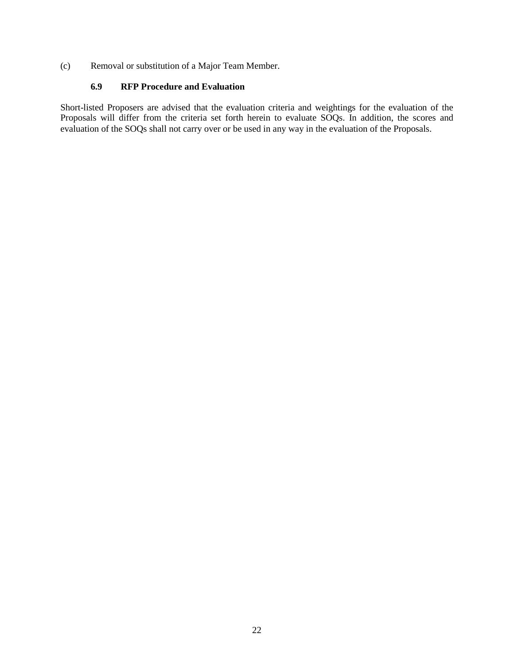(c) Removal or substitution of a Major Team Member.

#### **6.9 RFP Procedure and Evaluation**

<span id="page-25-0"></span>Short-listed Proposers are advised that the evaluation criteria and weightings for the evaluation of the Proposals will differ from the criteria set forth herein to evaluate SOQs. In addition, the scores and evaluation of the SOQs shall not carry over or be used in any way in the evaluation of the Proposals.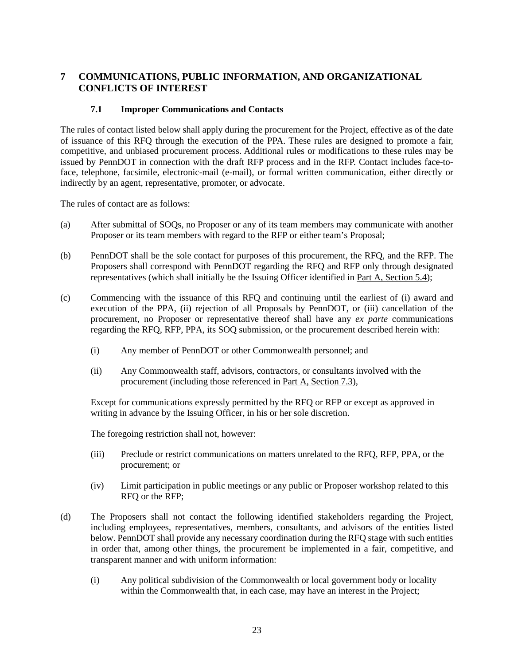# <span id="page-26-0"></span>**7 COMMUNICATIONS, PUBLIC INFORMATION, AND ORGANIZATIONAL CONFLICTS OF INTEREST**

#### **7.1 Improper Communications and Contacts**

<span id="page-26-1"></span>The rules of contact listed below shall apply during the procurement for the Project, effective as of the date of issuance of this RFQ through the execution of the PPA. These rules are designed to promote a fair, competitive, and unbiased procurement process. Additional rules or modifications to these rules may be issued by PennDOT in connection with the draft RFP process and in the RFP. Contact includes face-toface, telephone, facsimile, electronic-mail (e-mail), or formal written communication, either directly or indirectly by an agent, representative, promoter, or advocate.

The rules of contact are as follows:

- (a) After submittal of SOQs, no Proposer or any of its team members may communicate with another Proposer or its team members with regard to the RFP or either team's Proposal;
- (b) PennDOT shall be the sole contact for purposes of this procurement, the RFQ, and the RFP. The Proposers shall correspond with PennDOT regarding the RFQ and RFP only through designated representatives (which shall initially be the Issuing Officer identified in Part A, Section 5.4);
- (c) Commencing with the issuance of this RFQ and continuing until the earliest of (i) award and execution of the PPA, (ii) rejection of all Proposals by PennDOT, or (iii) cancellation of the procurement, no Proposer or representative thereof shall have any *ex parte* communications regarding the RFQ, RFP, PPA, its SOQ submission, or the procurement described herein with:
	- (i) Any member of PennDOT or other Commonwealth personnel; and
	- (ii) Any Commonwealth staff, advisors, contractors, or consultants involved with the procurement (including those referenced in Part A, Section 7.3),

Except for communications expressly permitted by the RFQ or RFP or except as approved in writing in advance by the Issuing Officer, in his or her sole discretion.

The foregoing restriction shall not, however:

- (iii) Preclude or restrict communications on matters unrelated to the RFQ, RFP, PPA, or the procurement; or
- (iv) Limit participation in public meetings or any public or Proposer workshop related to this RFQ or the RFP;
- (d) The Proposers shall not contact the following identified stakeholders regarding the Project, including employees, representatives, members, consultants, and advisors of the entities listed below. PennDOT shall provide any necessary coordination during the RFQ stage with such entities in order that, among other things, the procurement be implemented in a fair, competitive, and transparent manner and with uniform information:
	- (i) Any political subdivision of the Commonwealth or local government body or locality within the Commonwealth that, in each case, may have an interest in the Project;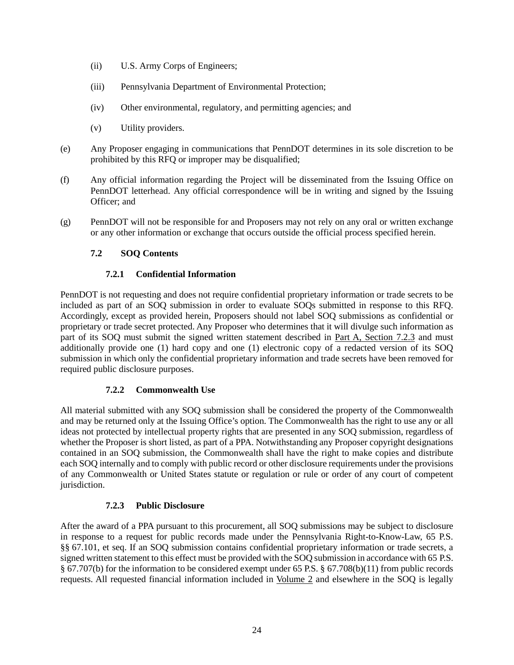- (ii) U.S. Army Corps of Engineers;
- (iii) Pennsylvania Department of Environmental Protection;
- (iv) Other environmental, regulatory, and permitting agencies; and
- (v) Utility providers.
- (e) Any Proposer engaging in communications that PennDOT determines in its sole discretion to be prohibited by this RFQ or improper may be disqualified;
- (f) Any official information regarding the Project will be disseminated from the Issuing Office on PennDOT letterhead. Any official correspondence will be in writing and signed by the Issuing Officer; and
- <span id="page-27-0"></span>(g) PennDOT will not be responsible for and Proposers may not rely on any oral or written exchange or any other information or exchange that occurs outside the official process specified herein.

#### **7.2 SOQ Contents**

#### **7.2.1 Confidential Information**

<span id="page-27-1"></span>PennDOT is not requesting and does not require confidential proprietary information or trade secrets to be included as part of an SOQ submission in order to evaluate SOQs submitted in response to this RFQ. Accordingly, except as provided herein, Proposers should not label SOQ submissions as confidential or proprietary or trade secret protected. Any Proposer who determines that it will divulge such information as part of its SOQ must submit the signed written statement described in <u>Part A, Section 7.2.3</u> and must additionally provide one (1) hard copy and one (1) electronic copy of a redacted version of its SOQ submission in which only the confidential proprietary information and trade secrets have been removed for required public disclosure purposes.

#### **7.2.2 Commonwealth Use**

<span id="page-27-2"></span>All material submitted with any SOQ submission shall be considered the property of the Commonwealth and may be returned only at the Issuing Office's option. The Commonwealth has the right to use any or all ideas not protected by intellectual property rights that are presented in any SOQ submission, regardless of whether the Proposer is short listed, as part of a PPA. Notwithstanding any Proposer copyright designations contained in an SOQ submission, the Commonwealth shall have the right to make copies and distribute each SOQ internally and to comply with public record or other disclosure requirements under the provisions of any Commonwealth or United States statute or regulation or rule or order of any court of competent jurisdiction.

#### **7.2.3 Public Disclosure**

<span id="page-27-3"></span>After the award of a PPA pursuant to this procurement, all SOQ submissions may be subject to disclosure in response to a request for public records made under the Pennsylvania Right-to-Know-Law, 65 P.S. §§ 67.101, et seq. If an SOQ submission contains confidential proprietary information or trade secrets, a signed written statement to this effect must be provided with the SOQ submission in accordance with 65 P.S. § 67.707(b) for the information to be considered exempt under 65 P.S. § 67.708(b)(11) from public records requests. All requested financial information included in Volume 2 and elsewhere in the SOQ is legally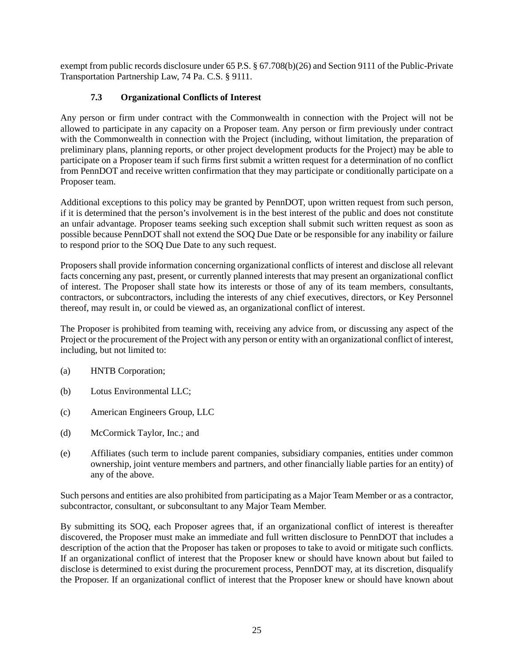exempt from public records disclosure under 65 P.S. § 67.708(b)(26) and Section 9111 of the Public-Private Transportation Partnership Law, 74 Pa. C.S. § 9111.

# **7.3 Organizational Conflicts of Interest**

<span id="page-28-0"></span>Any person or firm under contract with the Commonwealth in connection with the Project will not be allowed to participate in any capacity on a Proposer team. Any person or firm previously under contract with the Commonwealth in connection with the Project (including, without limitation, the preparation of preliminary plans, planning reports, or other project development products for the Project) may be able to participate on a Proposer team if such firms first submit a written request for a determination of no conflict from PennDOT and receive written confirmation that they may participate or conditionally participate on a Proposer team.

Additional exceptions to this policy may be granted by PennDOT, upon written request from such person, if it is determined that the person's involvement is in the best interest of the public and does not constitute an unfair advantage. Proposer teams seeking such exception shall submit such written request as soon as possible because PennDOT shall not extend the SOQ Due Date or be responsible for any inability or failure to respond prior to the SOQ Due Date to any such request.

Proposers shall provide information concerning organizational conflicts of interest and disclose all relevant facts concerning any past, present, or currently planned interests that may present an organizational conflict of interest. The Proposer shall state how its interests or those of any of its team members, consultants, contractors, or subcontractors, including the interests of any chief executives, directors, or Key Personnel thereof, may result in, or could be viewed as, an organizational conflict of interest.

The Proposer is prohibited from teaming with, receiving any advice from, or discussing any aspect of the Project or the procurement of the Project with any person or entity with an organizational conflict of interest, including, but not limited to:

- (a) HNTB Corporation;
- (b) Lotus Environmental LLC;
- (c) American Engineers Group, LLC
- (d) McCormick Taylor, Inc.; and
- (e) Affiliates (such term to include parent companies, subsidiary companies, entities under common ownership, joint venture members and partners, and other financially liable parties for an entity) of any of the above.

Such persons and entities are also prohibited from participating as a Major Team Member or as a contractor, subcontractor, consultant, or subconsultant to any Major Team Member.

By submitting its SOQ, each Proposer agrees that, if an organizational conflict of interest is thereafter discovered, the Proposer must make an immediate and full written disclosure to PennDOT that includes a description of the action that the Proposer has taken or proposes to take to avoid or mitigate such conflicts. If an organizational conflict of interest that the Proposer knew or should have known about but failed to disclose is determined to exist during the procurement process, PennDOT may, at its discretion, disqualify the Proposer. If an organizational conflict of interest that the Proposer knew or should have known about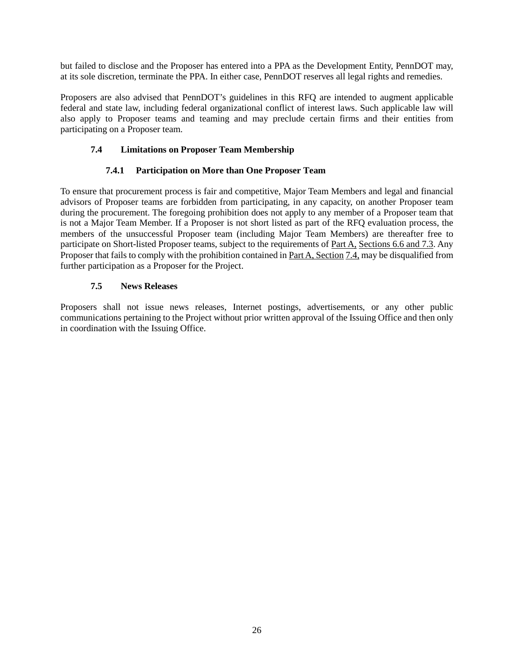but failed to disclose and the Proposer has entered into a PPA as the Development Entity, PennDOT may, at its sole discretion, terminate the PPA. In either case, PennDOT reserves all legal rights and remedies.

Proposers are also advised that PennDOT's guidelines in this RFQ are intended to augment applicable federal and state law, including federal organizational conflict of interest laws. Such applicable law will also apply to Proposer teams and teaming and may preclude certain firms and their entities from participating on a Proposer team.

## <span id="page-29-0"></span>**7.4 Limitations on Proposer Team Membership**

## **7.4.1 Participation on More than One Proposer Team**

<span id="page-29-1"></span>To ensure that procurement process is fair and competitive, Major Team Members and legal and financial advisors of Proposer teams are forbidden from participating, in any capacity, on another Proposer team during the procurement. The foregoing prohibition does not apply to any member of a Proposer team that is not a Major Team Member. If a Proposer is not short listed as part of the RFQ evaluation process, the members of the unsuccessful Proposer team (including Major Team Members) are thereafter free to participate on Short-listed Proposer teams, subject to the requirements of Part A, Sections 6.6 and 7.3. Any Proposer that fails to comply with the prohibition contained in Part A, Section 7.4, may be disqualified from further participation as a Proposer for the Project.

## **7.5 News Releases**

<span id="page-29-2"></span>Proposers shall not issue news releases, Internet postings, advertisements, or any other public communications pertaining to the Project without prior written approval of the Issuing Office and then only in coordination with the Issuing Office.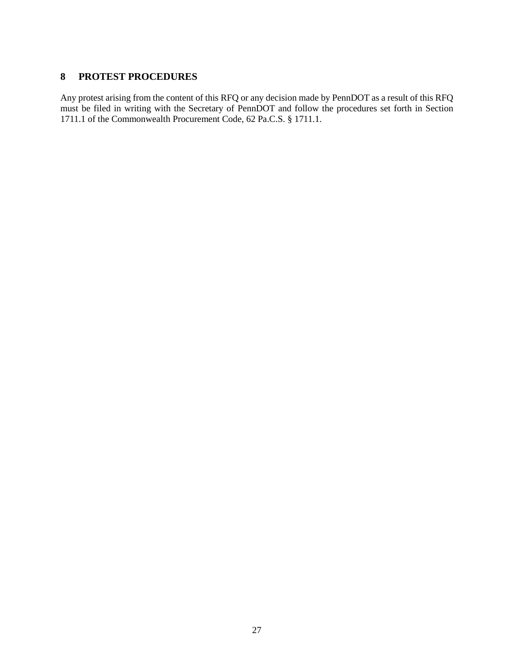# <span id="page-30-0"></span>**8 PROTEST PROCEDURES**

Any protest arising from the content of this RFQ or any decision made by PennDOT as a result of this RFQ must be filed in writing with the Secretary of PennDOT and follow the procedures set forth in Section 1711.1 of the Commonwealth Procurement Code, 62 Pa.C.S. § 1711.1.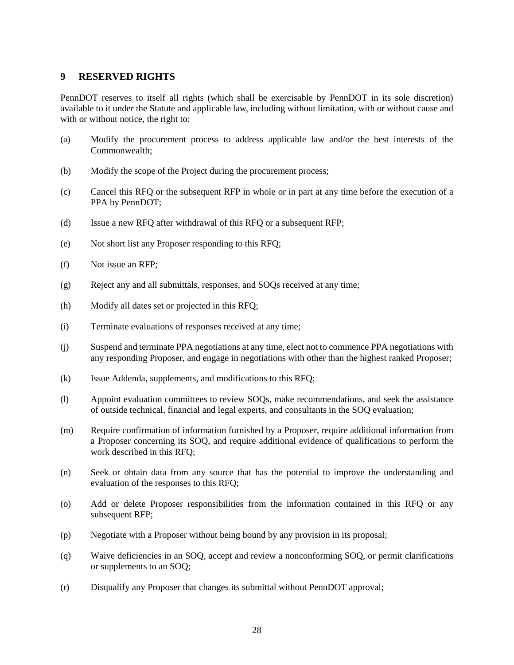## <span id="page-31-0"></span>**9 RESERVED RIGHTS**

PennDOT reserves to itself all rights (which shall be exercisable by PennDOT in its sole discretion) available to it under the Statute and applicable law, including without limitation, with or without cause and with or without notice, the right to:

- (a) Modify the procurement process to address applicable law and/or the best interests of the Commonwealth;
- (b) Modify the scope of the Project during the procurement process;
- (c) Cancel this RFQ or the subsequent RFP in whole or in part at any time before the execution of a PPA by PennDOT;
- (d) Issue a new RFQ after withdrawal of this RFQ or a subsequent RFP;
- (e) Not short list any Proposer responding to this RFQ;
- (f) Not issue an RFP;
- (g) Reject any and all submittals, responses, and SOQs received at any time;
- (h) Modify all dates set or projected in this RFQ;
- (i) Terminate evaluations of responses received at any time;
- (j) Suspend and terminate PPA negotiations at any time, elect not to commence PPA negotiations with any responding Proposer, and engage in negotiations with other than the highest ranked Proposer;
- (k) Issue Addenda, supplements, and modifications to this RFQ;
- (l) Appoint evaluation committees to review SOQs, make recommendations, and seek the assistance of outside technical, financial and legal experts, and consultants in the SOQ evaluation;
- (m) Require confirmation of information furnished by a Proposer, require additional information from a Proposer concerning its SOQ, and require additional evidence of qualifications to perform the work described in this RFQ;
- (n) Seek or obtain data from any source that has the potential to improve the understanding and evaluation of the responses to this RFQ;
- (o) Add or delete Proposer responsibilities from the information contained in this RFQ or any subsequent RFP;
- (p) Negotiate with a Proposer without being bound by any provision in its proposal;
- (q) Waive deficiencies in an SOQ, accept and review a nonconforming SOQ, or permit clarifications or supplements to an SOQ;
- (r) Disqualify any Proposer that changes its submittal without PennDOT approval;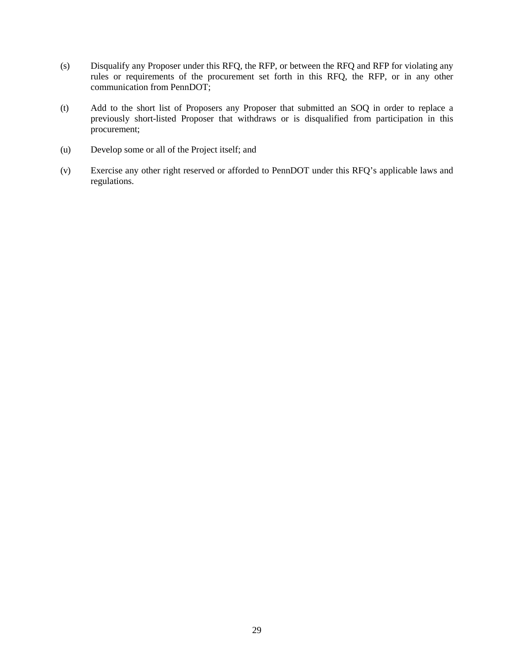- (s) Disqualify any Proposer under this RFQ, the RFP, or between the RFQ and RFP for violating any rules or requirements of the procurement set forth in this RFQ, the RFP, or in any other communication from PennDOT;
- (t) Add to the short list of Proposers any Proposer that submitted an SOQ in order to replace a previously short-listed Proposer that withdraws or is disqualified from participation in this procurement;
- (u) Develop some or all of the Project itself; and
- (v) Exercise any other right reserved or afforded to PennDOT under this RFQ's applicable laws and regulations.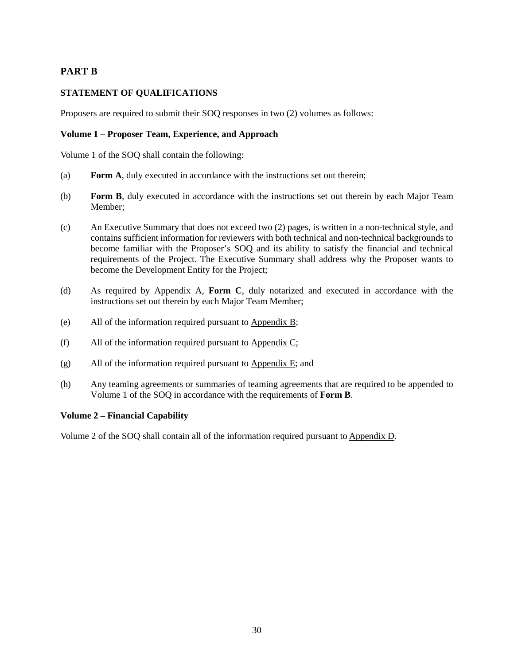# **PART B**

## **STATEMENT OF QUALIFICATIONS**

Proposers are required to submit their SOQ responses in two (2) volumes as follows:

#### **Volume 1 – Proposer Team, Experience, and Approach**

Volume 1 of the SOQ shall contain the following:

- (a) **Form A**, duly executed in accordance with the instructions set out therein;
- (b) **Form B**, duly executed in accordance with the instructions set out therein by each Major Team Member;
- (c) An Executive Summary that does not exceed two (2) pages, is written in a non-technical style, and contains sufficient information for reviewers with both technical and non-technical backgrounds to become familiar with the Proposer's SOQ and its ability to satisfy the financial and technical requirements of the Project. The Executive Summary shall address why the Proposer wants to become the Development Entity for the Project;
- (d) As required by Appendix A, **Form C**, duly notarized and executed in accordance with the instructions set out therein by each Major Team Member;
- (e) All of the information required pursuant to Appendix B;
- (f) All of the information required pursuant to Appendix C;
- (g) All of the information required pursuant to Appendix E; and
- (h) Any teaming agreements or summaries of teaming agreements that are required to be appended to Volume 1 of the SOQ in accordance with the requirements of **Form B**.

## **Volume 2 – Financial Capability**

Volume 2 of the SOQ shall contain all of the information required pursuant to Appendix D.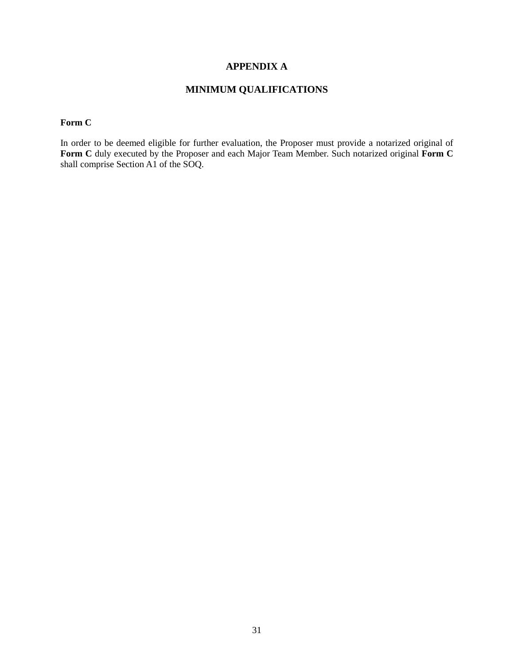## **APPENDIX A**

# **MINIMUM QUALIFICATIONS**

<span id="page-34-0"></span>**Form C**

In order to be deemed eligible for further evaluation, the Proposer must provide a notarized original of Form C duly executed by the Proposer and each Major Team Member. Such notarized original Form C shall comprise Section A1 of the SOQ.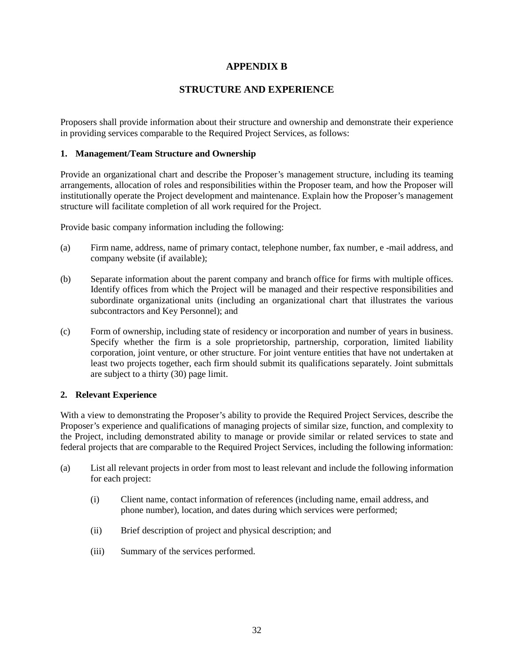# **APPENDIX B**

# **STRUCTURE AND EXPERIENCE**

<span id="page-35-0"></span>Proposers shall provide information about their structure and ownership and demonstrate their experience in providing services comparable to the Required Project Services, as follows:

#### **1. Management/Team Structure and Ownership**

Provide an organizational chart and describe the Proposer's management structure, including its teaming arrangements, allocation of roles and responsibilities within the Proposer team, and how the Proposer will institutionally operate the Project development and maintenance. Explain how the Proposer's management structure will facilitate completion of all work required for the Project.

Provide basic company information including the following:

- (a) Firm name, address, name of primary contact, telephone number, fax number, e -mail address, and company website (if available);
- (b) Separate information about the parent company and branch office for firms with multiple offices. Identify offices from which the Project will be managed and their respective responsibilities and subordinate organizational units (including an organizational chart that illustrates the various subcontractors and Key Personnel); and
- (c) Form of ownership, including state of residency or incorporation and number of years in business. Specify whether the firm is a sole proprietorship, partnership, corporation, limited liability corporation, joint venture, or other structure. For joint venture entities that have not undertaken at least two projects together, each firm should submit its qualifications separately. Joint submittals are subject to a thirty (30) page limit.

#### **2. Relevant Experience**

With a view to demonstrating the Proposer's ability to provide the Required Project Services, describe the Proposer's experience and qualifications of managing projects of similar size, function, and complexity to the Project, including demonstrated ability to manage or provide similar or related services to state and federal projects that are comparable to the Required Project Services, including the following information:

- (a) List all relevant projects in order from most to least relevant and include the following information for each project:
	- (i) Client name, contact information of references (including name, email address, and phone number), location, and dates during which services were performed;
	- (ii) Brief description of project and physical description; and
	- (iii) Summary of the services performed.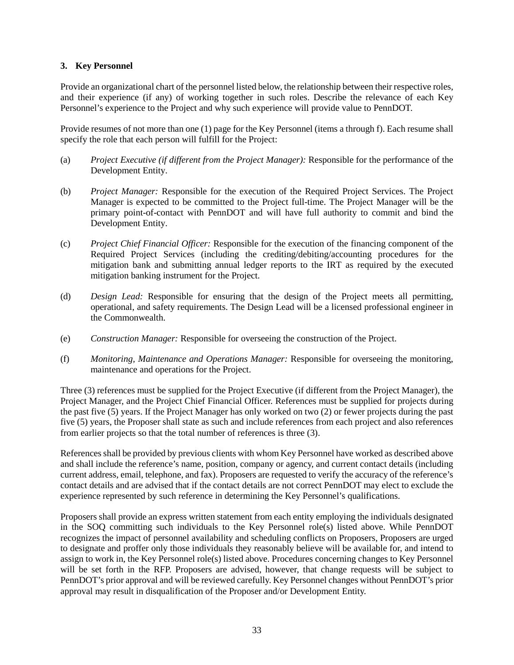#### **3. Key Personnel**

Provide an organizational chart of the personnel listed below, the relationship between their respective roles, and their experience (if any) of working together in such roles. Describe the relevance of each Key Personnel's experience to the Project and why such experience will provide value to PennDOT.

Provide resumes of not more than one (1) page for the Key Personnel (items a through f). Each resume shall specify the role that each person will fulfill for the Project:

- (a) *Project Executive (if different from the Project Manager):* Responsible for the performance of the Development Entity.
- (b) *Project Manager:* Responsible for the execution of the Required Project Services. The Project Manager is expected to be committed to the Project full-time. The Project Manager will be the primary point-of-contact with PennDOT and will have full authority to commit and bind the Development Entity.
- (c) *Project Chief Financial Officer:* Responsible for the execution of the financing component of the Required Project Services (including the crediting/debiting/accounting procedures for the mitigation bank and submitting annual ledger reports to the IRT as required by the executed mitigation banking instrument for the Project.
- (d) *Design Lead:* Responsible for ensuring that the design of the Project meets all permitting, operational, and safety requirements. The Design Lead will be a licensed professional engineer in the Commonwealth.
- (e) *Construction Manager:* Responsible for overseeing the construction of the Project.
- (f) *Monitoring, Maintenance and Operations Manager:* Responsible for overseeing the monitoring, maintenance and operations for the Project.

Three (3) references must be supplied for the Project Executive (if different from the Project Manager), the Project Manager, and the Project Chief Financial Officer. References must be supplied for projects during the past five (5) years. If the Project Manager has only worked on two (2) or fewer projects during the past five (5) years, the Proposer shall state as such and include references from each project and also references from earlier projects so that the total number of references is three (3).

References shall be provided by previous clients with whom Key Personnel have worked as described above and shall include the reference's name, position, company or agency, and current contact details (including current address, email, telephone, and fax). Proposers are requested to verify the accuracy of the reference's contact details and are advised that if the contact details are not correct PennDOT may elect to exclude the experience represented by such reference in determining the Key Personnel's qualifications.

Proposers shall provide an express written statement from each entity employing the individuals designated in the SOQ committing such individuals to the Key Personnel role(s) listed above. While PennDOT recognizes the impact of personnel availability and scheduling conflicts on Proposers, Proposers are urged to designate and proffer only those individuals they reasonably believe will be available for, and intend to assign to work in, the Key Personnel role(s) listed above. Procedures concerning changes to Key Personnel will be set forth in the RFP. Proposers are advised, however, that change requests will be subject to PennDOT's prior approval and will be reviewed carefully. Key Personnel changes without PennDOT's prior approval may result in disqualification of the Proposer and/or Development Entity.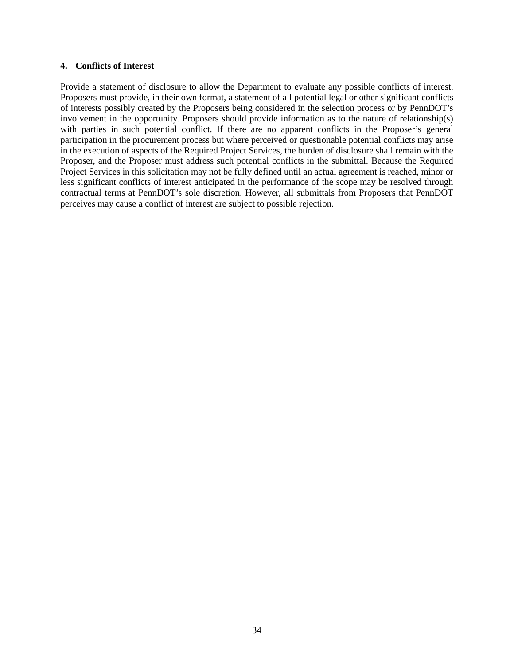#### **4. Conflicts of Interest**

Provide a statement of disclosure to allow the Department to evaluate any possible conflicts of interest. Proposers must provide, in their own format, a statement of all potential legal or other significant conflicts of interests possibly created by the Proposers being considered in the selection process or by PennDOT's involvement in the opportunity. Proposers should provide information as to the nature of relationship(s) with parties in such potential conflict. If there are no apparent conflicts in the Proposer's general participation in the procurement process but where perceived or questionable potential conflicts may arise in the execution of aspects of the Required Project Services, the burden of disclosure shall remain with the Proposer, and the Proposer must address such potential conflicts in the submittal. Because the Required Project Services in this solicitation may not be fully defined until an actual agreement is reached, minor or less significant conflicts of interest anticipated in the performance of the scope may be resolved through contractual terms at PennDOT's sole discretion. However, all submittals from Proposers that PennDOT perceives may cause a conflict of interest are subject to possible rejection.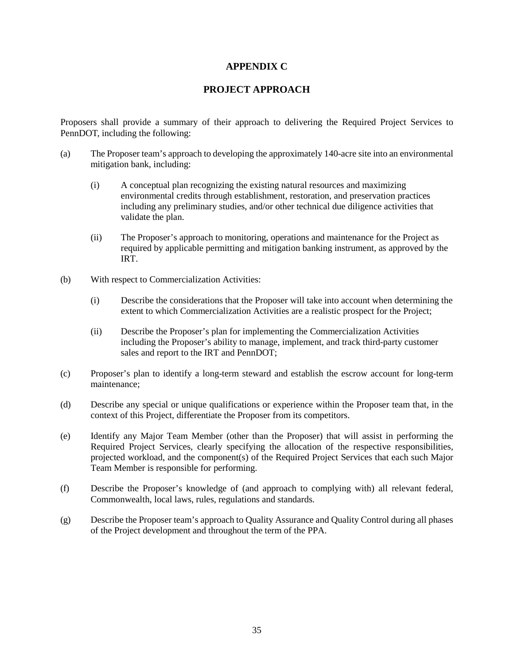## **APPENDIX C**

## **PROJECT APPROACH**

<span id="page-38-0"></span>Proposers shall provide a summary of their approach to delivering the Required Project Services to PennDOT, including the following:

- (a) The Proposer team's approach to developing the approximately 140-acre site into an environmental mitigation bank, including:
	- (i) A conceptual plan recognizing the existing natural resources and maximizing environmental credits through establishment, restoration, and preservation practices including any preliminary studies, and/or other technical due diligence activities that validate the plan.
	- (ii) The Proposer's approach to monitoring, operations and maintenance for the Project as required by applicable permitting and mitigation banking instrument, as approved by the IRT.
- (b) With respect to Commercialization Activities:
	- (i) Describe the considerations that the Proposer will take into account when determining the extent to which Commercialization Activities are a realistic prospect for the Project;
	- (ii) Describe the Proposer's plan for implementing the Commercialization Activities including the Proposer's ability to manage, implement, and track third-party customer sales and report to the IRT and PennDOT;
- (c) Proposer's plan to identify a long-term steward and establish the escrow account for long-term maintenance;
- (d) Describe any special or unique qualifications or experience within the Proposer team that, in the context of this Project, differentiate the Proposer from its competitors.
- (e) Identify any Major Team Member (other than the Proposer) that will assist in performing the Required Project Services, clearly specifying the allocation of the respective responsibilities, projected workload, and the component(s) of the Required Project Services that each such Major Team Member is responsible for performing.
- (f) Describe the Proposer's knowledge of (and approach to complying with) all relevant federal, Commonwealth, local laws, rules, regulations and standards.
- (g) Describe the Proposer team's approach to Quality Assurance and Quality Control during all phases of the Project development and throughout the term of the PPA.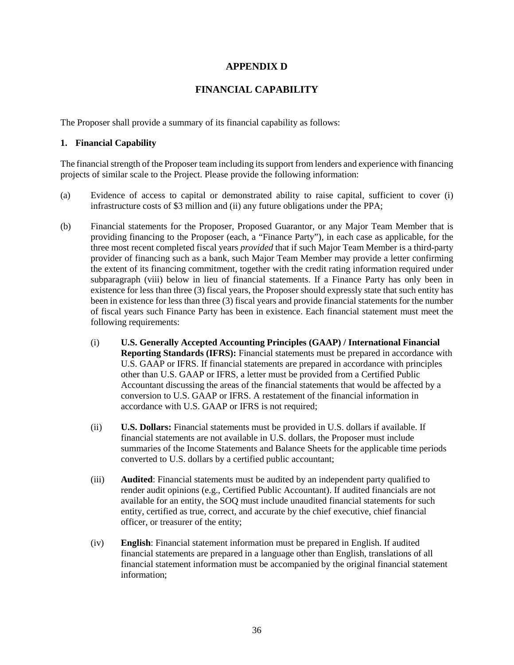## **APPENDIX D**

# **FINANCIAL CAPABILITY**

<span id="page-39-0"></span>The Proposer shall provide a summary of its financial capability as follows:

#### **1. Financial Capability**

The financial strength of the Proposer team including its support from lenders and experience with financing projects of similar scale to the Project. Please provide the following information:

- (a) Evidence of access to capital or demonstrated ability to raise capital, sufficient to cover (i) infrastructure costs of \$3 million and (ii) any future obligations under the PPA;
- (b) Financial statements for the Proposer, Proposed Guarantor, or any Major Team Member that is providing financing to the Proposer (each, a "Finance Party"), in each case as applicable, for the three most recent completed fiscal years *provided* that if such Major Team Member is a third-party provider of financing such as a bank, such Major Team Member may provide a letter confirming the extent of its financing commitment, together with the credit rating information required under subparagraph (viii) below in lieu of financial statements. If a Finance Party has only been in existence for less than three (3) fiscal years, the Proposer should expressly state that such entity has been in existence for less than three (3) fiscal years and provide financial statements for the number of fiscal years such Finance Party has been in existence. Each financial statement must meet the following requirements:
	- (i) **U.S. Generally Accepted Accounting Principles (GAAP) / International Financial Reporting Standards (IFRS):** Financial statements must be prepared in accordance with U.S. GAAP or IFRS. If financial statements are prepared in accordance with principles other than U.S. GAAP or IFRS, a letter must be provided from a Certified Public Accountant discussing the areas of the financial statements that would be affected by a conversion to U.S. GAAP or IFRS. A restatement of the financial information in accordance with U.S. GAAP or IFRS is not required;
	- (ii) **U.S. Dollars:** Financial statements must be provided in U.S. dollars if available. If financial statements are not available in U.S. dollars, the Proposer must include summaries of the Income Statements and Balance Sheets for the applicable time periods converted to U.S. dollars by a certified public accountant;
	- (iii) **Audited**: Financial statements must be audited by an independent party qualified to render audit opinions (e.g., Certified Public Accountant). If audited financials are not available for an entity, the SOQ must include unaudited financial statements for such entity, certified as true, correct, and accurate by the chief executive, chief financial officer, or treasurer of the entity;
	- (iv) **English**: Financial statement information must be prepared in English. If audited financial statements are prepared in a language other than English, translations of all financial statement information must be accompanied by the original financial statement information;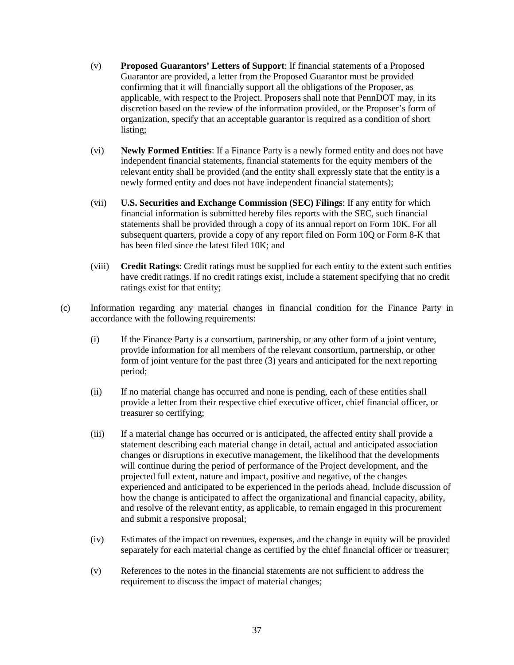- (v) **Proposed Guarantors' Letters of Support**: If financial statements of a Proposed Guarantor are provided, a letter from the Proposed Guarantor must be provided confirming that it will financially support all the obligations of the Proposer, as applicable, with respect to the Project. Proposers shall note that PennDOT may, in its discretion based on the review of the information provided, or the Proposer's form of organization, specify that an acceptable guarantor is required as a condition of short listing;
- (vi) **Newly Formed Entities**: If a Finance Party is a newly formed entity and does not have independent financial statements, financial statements for the equity members of the relevant entity shall be provided (and the entity shall expressly state that the entity is a newly formed entity and does not have independent financial statements);
- (vii) **U.S. Securities and Exchange Commission (SEC) Filings**: If any entity for which financial information is submitted hereby files reports with the SEC, such financial statements shall be provided through a copy of its annual report on Form 10K. For all subsequent quarters, provide a copy of any report filed on Form 10Q or Form 8-K that has been filed since the latest filed 10K; and
- (viii) **Credit Ratings**: Credit ratings must be supplied for each entity to the extent such entities have credit ratings. If no credit ratings exist, include a statement specifying that no credit ratings exist for that entity;
- (c) Information regarding any material changes in financial condition for the Finance Party in accordance with the following requirements:
	- (i) If the Finance Party is a consortium, partnership, or any other form of a joint venture, provide information for all members of the relevant consortium, partnership, or other form of joint venture for the past three (3) years and anticipated for the next reporting period;
	- (ii) If no material change has occurred and none is pending, each of these entities shall provide a letter from their respective chief executive officer, chief financial officer, or treasurer so certifying;
	- (iii) If a material change has occurred or is anticipated, the affected entity shall provide a statement describing each material change in detail, actual and anticipated association changes or disruptions in executive management, the likelihood that the developments will continue during the period of performance of the Project development, and the projected full extent, nature and impact, positive and negative, of the changes experienced and anticipated to be experienced in the periods ahead. Include discussion of how the change is anticipated to affect the organizational and financial capacity, ability, and resolve of the relevant entity, as applicable, to remain engaged in this procurement and submit a responsive proposal;
	- (iv) Estimates of the impact on revenues, expenses, and the change in equity will be provided separately for each material change as certified by the chief financial officer or treasurer;
	- (v) References to the notes in the financial statements are not sufficient to address the requirement to discuss the impact of material changes;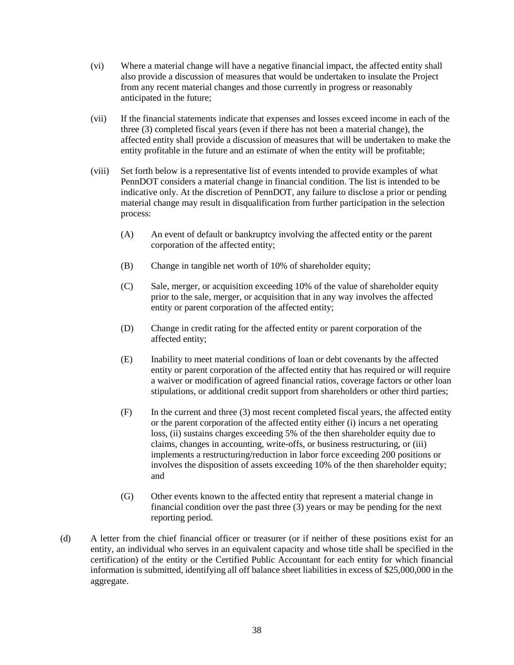- (vi) Where a material change will have a negative financial impact, the affected entity shall also provide a discussion of measures that would be undertaken to insulate the Project from any recent material changes and those currently in progress or reasonably anticipated in the future;
- (vii) If the financial statements indicate that expenses and losses exceed income in each of the three (3) completed fiscal years (even if there has not been a material change), the affected entity shall provide a discussion of measures that will be undertaken to make the entity profitable in the future and an estimate of when the entity will be profitable;
- (viii) Set forth below is a representative list of events intended to provide examples of what PennDOT considers a material change in financial condition. The list is intended to be indicative only. At the discretion of PennDOT, any failure to disclose a prior or pending material change may result in disqualification from further participation in the selection process:
	- (A) An event of default or bankruptcy involving the affected entity or the parent corporation of the affected entity;
	- (B) Change in tangible net worth of 10% of shareholder equity;
	- (C) Sale, merger, or acquisition exceeding 10% of the value of shareholder equity prior to the sale, merger, or acquisition that in any way involves the affected entity or parent corporation of the affected entity;
	- (D) Change in credit rating for the affected entity or parent corporation of the affected entity;
	- (E) Inability to meet material conditions of loan or debt covenants by the affected entity or parent corporation of the affected entity that has required or will require a waiver or modification of agreed financial ratios, coverage factors or other loan stipulations, or additional credit support from shareholders or other third parties;
	- (F) In the current and three (3) most recent completed fiscal years, the affected entity or the parent corporation of the affected entity either (i) incurs a net operating loss, (ii) sustains charges exceeding 5% of the then shareholder equity due to claims, changes in accounting, write-offs, or business restructuring, or (iii) implements a restructuring/reduction in labor force exceeding 200 positions or involves the disposition of assets exceeding 10% of the then shareholder equity; and
	- (G) Other events known to the affected entity that represent a material change in financial condition over the past three (3) years or may be pending for the next reporting period.
- (d) A letter from the chief financial officer or treasurer (or if neither of these positions exist for an entity, an individual who serves in an equivalent capacity and whose title shall be specified in the certification) of the entity or the Certified Public Accountant for each entity for which financial information is submitted, identifying all off balance sheet liabilities in excess of \$25,000,000 in the aggregate.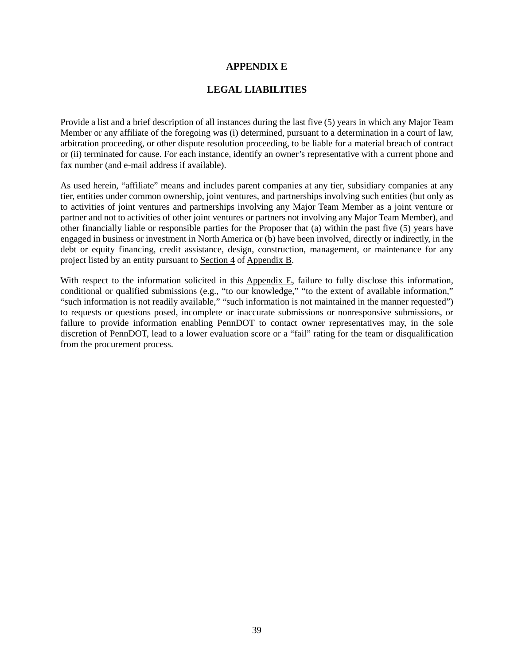#### **APPENDIX E**

#### **LEGAL LIABILITIES**

<span id="page-42-0"></span>Provide a list and a brief description of all instances during the last five (5) years in which any Major Team Member or any affiliate of the foregoing was (i) determined, pursuant to a determination in a court of law, arbitration proceeding, or other dispute resolution proceeding, to be liable for a material breach of contract or (ii) terminated for cause. For each instance, identify an owner's representative with a current phone and fax number (and e-mail address if available).

As used herein, "affiliate" means and includes parent companies at any tier, subsidiary companies at any tier, entities under common ownership, joint ventures, and partnerships involving such entities (but only as to activities of joint ventures and partnerships involving any Major Team Member as a joint venture or partner and not to activities of other joint ventures or partners not involving any Major Team Member), and other financially liable or responsible parties for the Proposer that (a) within the past five (5) years have engaged in business or investment in North America or (b) have been involved, directly or indirectly, in the debt or equity financing, credit assistance, design, construction, management, or maintenance for any project listed by an entity pursuant to Section 4 of Appendix B.

With respect to the information solicited in this Appendix E, failure to fully disclose this information, conditional or qualified submissions (e.g., "to our knowledge," "to the extent of available information," "such information is not readily available," "such information is not maintained in the manner requested") to requests or questions posed, incomplete or inaccurate submissions or nonresponsive submissions, or failure to provide information enabling PennDOT to contact owner representatives may, in the sole discretion of PennDOT, lead to a lower evaluation score or a "fail" rating for the team or disqualification from the procurement process.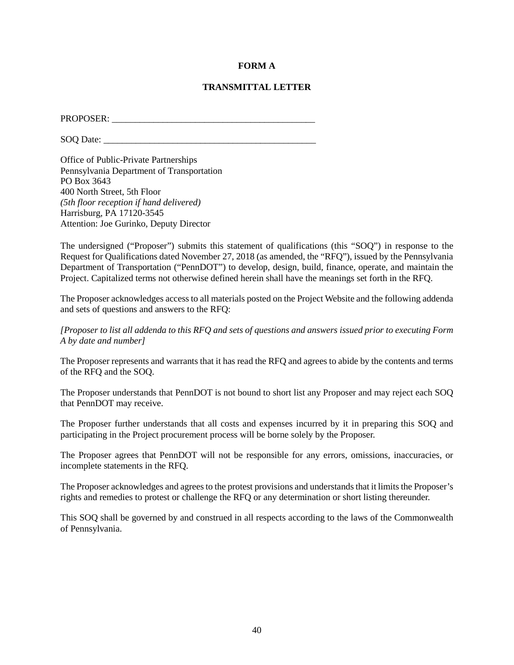#### **FORM A**

#### **TRANSMITTAL LETTER**

<span id="page-43-0"></span>PROPOSER: \_\_\_\_\_\_\_\_\_\_\_\_\_\_\_\_\_\_\_\_\_\_\_\_\_\_\_\_\_\_\_\_\_\_\_\_\_\_\_\_\_\_\_\_

SOQ Date:

Office of Public-Private Partnerships Pennsylvania Department of Transportation PO Box 3643 400 North Street, 5th Floor *(5th floor reception if hand delivered)* Harrisburg, PA 17120-3545 Attention: Joe Gurinko, Deputy Director

The undersigned ("Proposer") submits this statement of qualifications (this "SOQ") in response to the Request for Qualifications dated November 27, 2018 (as amended, the "RFQ"), issued by the Pennsylvania Department of Transportation ("PennDOT") to develop, design, build, finance, operate, and maintain the Project. Capitalized terms not otherwise defined herein shall have the meanings set forth in the RFQ.

The Proposer acknowledges access to all materials posted on the Project Website and the following addenda and sets of questions and answers to the RFQ:

*[Proposer to list all addenda to this RFQ and sets of questions and answers issued prior to executing Form A by date and number]*

The Proposer represents and warrants that it has read the RFQ and agrees to abide by the contents and terms of the RFQ and the SOQ.

The Proposer understands that PennDOT is not bound to short list any Proposer and may reject each SOQ that PennDOT may receive.

The Proposer further understands that all costs and expenses incurred by it in preparing this SOQ and participating in the Project procurement process will be borne solely by the Proposer.

The Proposer agrees that PennDOT will not be responsible for any errors, omissions, inaccuracies, or incomplete statements in the RFQ.

The Proposer acknowledges and agrees to the protest provisions and understands that it limits the Proposer's rights and remedies to protest or challenge the RFQ or any determination or short listing thereunder.

This SOQ shall be governed by and construed in all respects according to the laws of the Commonwealth of Pennsylvania.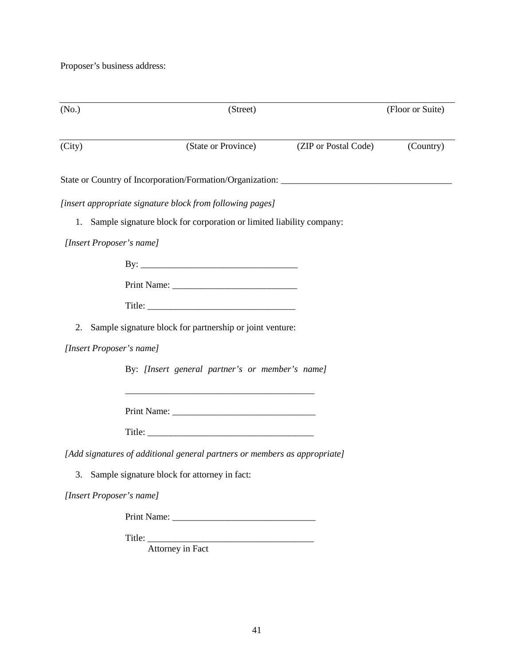Proposer's business address:

| (No.)  |                                                 | (Street)                                                                  |                      | (Floor or Suite) |
|--------|-------------------------------------------------|---------------------------------------------------------------------------|----------------------|------------------|
| (City) |                                                 | (State or Province)                                                       | (ZIP or Postal Code) | (Country)        |
|        |                                                 |                                                                           |                      |                  |
|        |                                                 | [insert appropriate signature block from following pages]                 |                      |                  |
|        |                                                 | 1. Sample signature block for corporation or limited liability company:   |                      |                  |
|        | [Insert Proposer's name]                        |                                                                           |                      |                  |
|        |                                                 |                                                                           |                      |                  |
|        |                                                 |                                                                           |                      |                  |
|        |                                                 |                                                                           |                      |                  |
| 2.     |                                                 | Sample signature block for partnership or joint venture:                  |                      |                  |
|        | [Insert Proposer's name]                        |                                                                           |                      |                  |
|        |                                                 | By: [Insert general partner's or member's name]                           |                      |                  |
|        |                                                 |                                                                           |                      |                  |
|        |                                                 |                                                                           |                      |                  |
|        |                                                 | [Add signatures of additional general partners or members as appropriate] |                      |                  |
|        | 3. Sample signature block for attorney in fact: |                                                                           |                      |                  |
|        | [Insert Proposer's name]                        |                                                                           |                      |                  |
|        |                                                 |                                                                           |                      |                  |
|        |                                                 | Title: Attorney in Fact                                                   |                      |                  |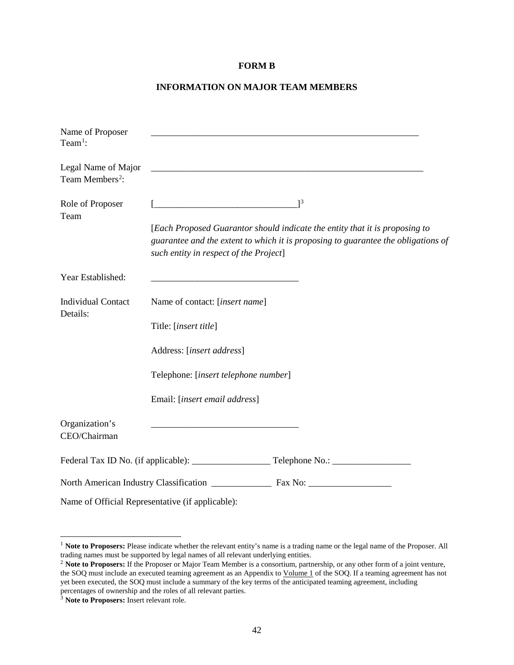#### **FORM B**

#### **INFORMATION ON MAJOR TEAM MEMBERS**

<span id="page-45-0"></span>

| Name of Proposer<br>Team <sup>1</sup> :            | <u> 1980 - Johann Barn, mars ann an t-Amhain ann an t-Amhain an t-Amhain an t-Amhain an t-Amhain an t-Amhain an t-</u>                                                                                     |
|----------------------------------------------------|------------------------------------------------------------------------------------------------------------------------------------------------------------------------------------------------------------|
| Legal Name of Major<br>Team Members <sup>2</sup> : |                                                                                                                                                                                                            |
| Role of Proposer<br>Team                           | $\begin{bmatrix} 3 \end{bmatrix}$                                                                                                                                                                          |
|                                                    | [Each Proposed Guarantor should indicate the entity that it is proposing to<br>guarantee and the extent to which it is proposing to guarantee the obligations of<br>such entity in respect of the Project] |
| Year Established:                                  |                                                                                                                                                                                                            |
| <b>Individual Contact</b><br>Details:              | Name of contact: [insert name]                                                                                                                                                                             |
|                                                    | Title: [insert title]                                                                                                                                                                                      |
|                                                    | Address: [insert address]                                                                                                                                                                                  |
|                                                    | Telephone: [insert telephone number]                                                                                                                                                                       |
|                                                    | Email: [insert email address]                                                                                                                                                                              |
| Organization's<br>CEO/Chairman                     |                                                                                                                                                                                                            |
|                                                    |                                                                                                                                                                                                            |
|                                                    |                                                                                                                                                                                                            |
|                                                    | Name of Official Representative (if applicable):                                                                                                                                                           |

<span id="page-45-1"></span><sup>&</sup>lt;sup>1</sup> Note to Proposers: Please indicate whether the relevant entity's name is a trading name or the legal name of the Proposer. All trading names must be supported by legal names of all relevant underlying entities.

<span id="page-45-2"></span><sup>&</sup>lt;sup>2</sup> Note to Proposers: If the Proposer or Major Team Member is a consortium, partnership, or any other form of a joint venture, the SOQ must include an executed teaming agreement as an Appendix to Volume 1 of the SOQ. If a teaming agreement has not yet been executed, the SOQ must include a summary of the key terms of the anticipated teaming agreement, including percentages of ownership and the roles of all relevant parties.

<span id="page-45-3"></span><sup>3</sup> **Note to Proposers:** Insert relevant role.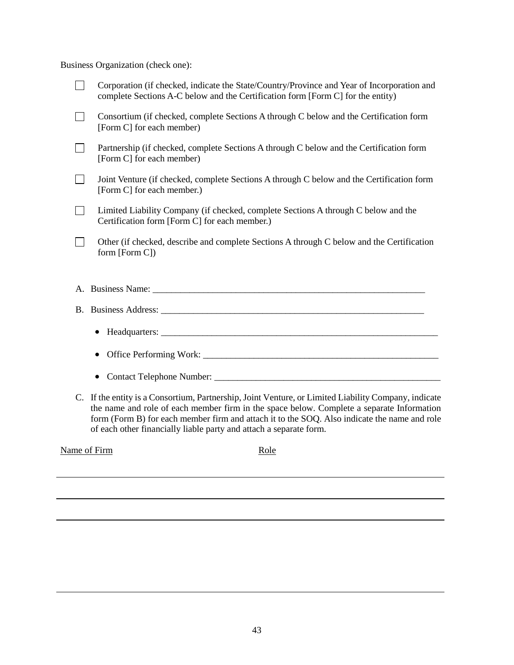Business Organization (check one):

| Corporation (if checked, indicate the State/Country/Province and Year of Incorporation and<br>complete Sections A-C below and the Certification form [Form C] for the entity) |
|-------------------------------------------------------------------------------------------------------------------------------------------------------------------------------|
| Consortium (if checked, complete Sections A through C below and the Certification form<br>[Form C] for each member)                                                           |
| Partnership (if checked, complete Sections A through C below and the Certification form<br>[Form C] for each member)                                                          |
| Joint Venture (if checked, complete Sections A through C below and the Certification form<br>[Form C] for each member.)                                                       |
| Limited Liability Company (if checked, complete Sections A through C below and the<br>Certification form [Form C] for each member.)                                           |
| Other (if checked, describe and complete Sections A through C below and the Certification<br>form $[Form C]$                                                                  |
|                                                                                                                                                                               |
| A. Business Name:                                                                                                                                                             |
| B. Business Address:                                                                                                                                                          |

# • Headquarters:  $\Box$

|  | • Office Performing Work: |  |  |
|--|---------------------------|--|--|
|--|---------------------------|--|--|

- Contact Telephone Number: \_\_\_\_\_\_\_\_\_\_\_\_\_\_\_\_\_\_\_\_\_\_\_\_\_\_\_\_\_\_\_\_\_\_\_\_\_\_\_\_\_\_\_\_\_\_\_\_\_
- C. If the entity is a Consortium, Partnership, Joint Venture, or Limited Liability Company, indicate the name and role of each member firm in the space below. Complete a separate Information form (Form B) for each member firm and attach it to the SOQ. Also indicate the name and role of each other financially liable party and attach a separate form.

Name of Firm Role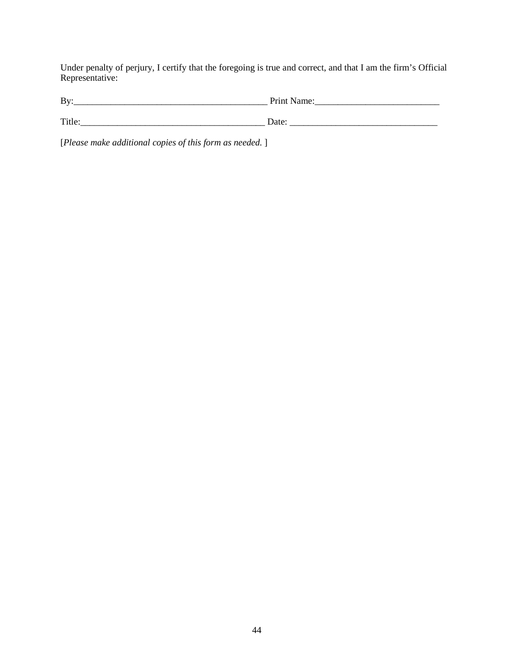Under penalty of perjury, I certify that the foregoing is true and correct, and that I am the firm's Official Representative:

| By:    | Print Name: |
|--------|-------------|
|        |             |
| Title: | Date        |

[*Please make additional copies of this form as needed.* ]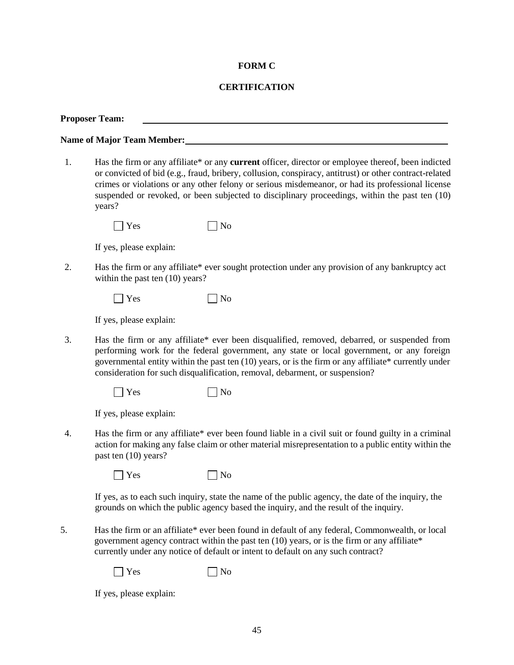#### **FORM C**

#### **CERTIFICATION**

<span id="page-48-0"></span>**Proposer Team:**

**Name of Major Team Member:**

1. Has the firm or any affiliate\* or any **current** officer, director or employee thereof, been indicted or convicted of bid (e.g., fraud, bribery, collusion, conspiracy, antitrust) or other contract-related crimes or violations or any other felony or serious misdemeanor, or had its professional license suspended or revoked, or been subjected to disciplinary proceedings, within the past ten (10) years?

 $\Box$  Yes  $\Box$  No

If yes, please explain:

2. Has the firm or any affiliate\* ever sought protection under any provision of any bankruptcy act within the past ten  $(10)$  years?

| $\Box$ Yes | $\Box$ No |
|------------|-----------|
|------------|-----------|

If yes, please explain:

- 3. Has the firm or any affiliate\* ever been disqualified, removed, debarred, or suspended from performing work for the federal government, any state or local government, or any foreign governmental entity within the past ten (10) years, or is the firm or any affiliate\* currently under consideration for such disqualification, removal, debarment, or suspension?
	- $\Box$  Yes  $\Box$  No

If yes, please explain:

4. Has the firm or any affiliate\* ever been found liable in a civil suit or found guilty in a criminal action for making any false claim or other material misrepresentation to a public entity within the past ten (10) years?

 $\Box$  Yes  $\Box$  No

If yes, as to each such inquiry, state the name of the public agency, the date of the inquiry, the grounds on which the public agency based the inquiry, and the result of the inquiry.

5. Has the firm or an affiliate\* ever been found in default of any federal, Commonwealth, or local government agency contract within the past ten  $(10)$  years, or is the firm or any affiliate\* currently under any notice of default or intent to default on any such contract?

 $\Box$  Yes  $\Box$  No

If yes, please explain: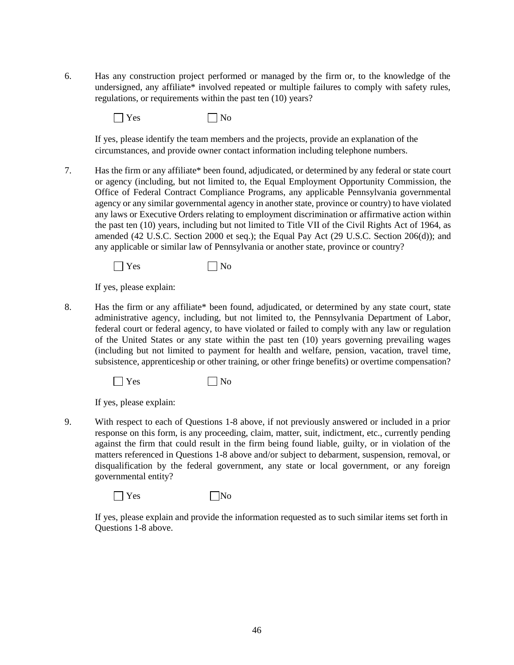6. Has any construction project performed or managed by the firm or, to the knowledge of the undersigned, any affiliate\* involved repeated or multiple failures to comply with safety rules, regulations, or requirements within the past ten (10) years?

 $\Box$  Yes  $\Box$  No

If yes, please identify the team members and the projects, provide an explanation of the circumstances, and provide owner contact information including telephone numbers.

7. Has the firm or any affiliate\* been found, adjudicated, or determined by any federal or state court or agency (including, but not limited to, the Equal Employment Opportunity Commission, the Office of Federal Contract Compliance Programs, any applicable Pennsylvania governmental agency or any similar governmental agency in another state, province or country) to have violated any laws or Executive Orders relating to employment discrimination or affirmative action within the past ten (10) years, including but not limited to Title VII of the Civil Rights Act of 1964, as amended (42 U.S.C. Section 2000 et seq.); the Equal Pay Act (29 U.S.C. Section 206(d)); and any applicable or similar law of Pennsylvania or another state, province or country?

 $\Box$  Yes  $\Box$  No

If yes, please explain:

8. Has the firm or any affiliate\* been found, adjudicated, or determined by any state court, state administrative agency, including, but not limited to, the Pennsylvania Department of Labor, federal court or federal agency, to have violated or failed to comply with any law or regulation of the United States or any state within the past ten (10) years governing prevailing wages (including but not limited to payment for health and welfare, pension, vacation, travel time, subsistence, apprenticeship or other training, or other fringe benefits) or overtime compensation?

 $\Box$  Yes  $\Box$  No

If yes, please explain:

9. With respect to each of Questions 1-8 above, if not previously answered or included in a prior response on this form, is any proceeding, claim, matter, suit, indictment, etc., currently pending against the firm that could result in the firm being found liable, guilty, or in violation of the matters referenced in Questions 1-8 above and/or subject to debarment, suspension, removal, or disqualification by the federal government, any state or local government, or any foreign governmental entity?

 $\Box$  Yes  $\Box$  No

If yes, please explain and provide the information requested as to such similar items set forth in Questions 1-8 above.